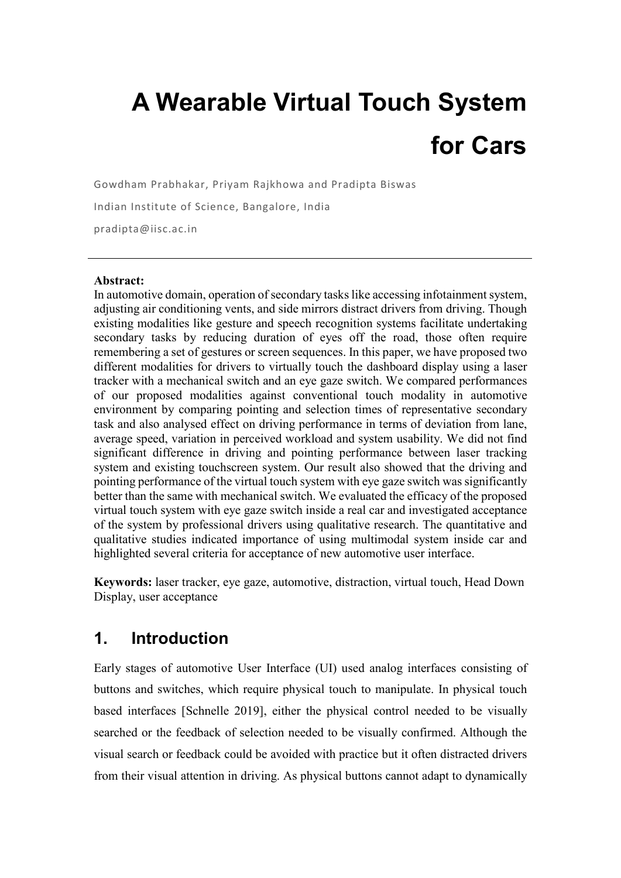# **A Wearable Virtual Touch System for Cars**

Gowdham Prabhakar, Priyam Rajkhowa and Pradipta Biswas

Indian Institute of Science, Bangalore, India

pradipta@iisc.ac.in

#### **Abstract:**

In automotive domain, operation of secondary tasks like accessing infotainment system, adjusting air conditioning vents, and side mirrors distract drivers from driving. Though existing modalities like gesture and speech recognition systems facilitate undertaking secondary tasks by reducing duration of eyes off the road, those often require remembering a set of gestures or screen sequences. In this paper, we have proposed two different modalities for drivers to virtually touch the dashboard display using a laser tracker with a mechanical switch and an eye gaze switch. We compared performances of our proposed modalities against conventional touch modality in automotive environment by comparing pointing and selection times of representative secondary task and also analysed effect on driving performance in terms of deviation from lane, average speed, variation in perceived workload and system usability. We did not find significant difference in driving and pointing performance between laser tracking system and existing touchscreen system. Our result also showed that the driving and pointing performance of the virtual touch system with eye gaze switch was significantly better than the same with mechanical switch. We evaluated the efficacy of the proposed virtual touch system with eye gaze switch inside a real car and investigated acceptance of the system by professional drivers using qualitative research. The quantitative and qualitative studies indicated importance of using multimodal system inside car and highlighted several criteria for acceptance of new automotive user interface.

**Keywords:** laser tracker, eye gaze, automotive, distraction, virtual touch, Head Down Display, user acceptance

# **1. Introduction**

Early stages of automotive User Interface (UI) used analog interfaces consisting of buttons and switches, which require physical touch to manipulate. In physical touch based interfaces [Schnelle 2019], either the physical control needed to be visually searched or the feedback of selection needed to be visually confirmed. Although the visual search or feedback could be avoided with practice but it often distracted drivers from their visual attention in driving. As physical buttons cannot adapt to dynamically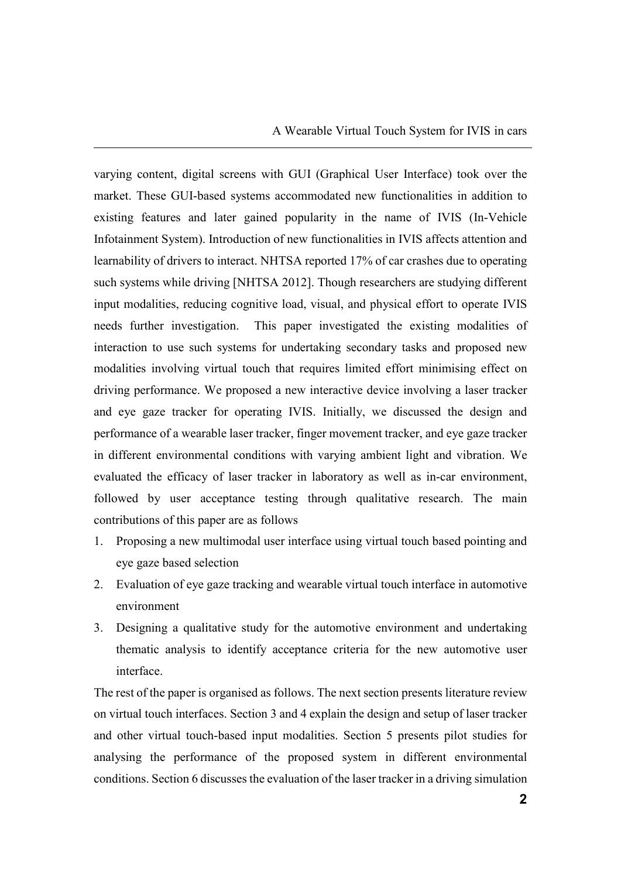varying content, digital screens with GUI (Graphical User Interface) took over the market. These GUI-based systems accommodated new functionalities in addition to existing features and later gained popularity in the name of IVIS (In-Vehicle Infotainment System). Introduction of new functionalities in IVIS affects attention and learnability of drivers to interact. NHTSA reported 17% of car crashes due to operating such systems while driving [NHTSA 2012]. Though researchers are studying different input modalities, reducing cognitive load, visual, and physical effort to operate IVIS needs further investigation. This paper investigated the existing modalities of interaction to use such systems for undertaking secondary tasks and proposed new modalities involving virtual touch that requires limited effort minimising effect on driving performance. We proposed a new interactive device involving a laser tracker and eye gaze tracker for operating IVIS. Initially, we discussed the design and performance of a wearable laser tracker, finger movement tracker, and eye gaze tracker in different environmental conditions with varying ambient light and vibration. We evaluated the efficacy of laser tracker in laboratory as well as in-car environment, followed by user acceptance testing through qualitative research. The main contributions of this paper are as follows

- 1. Proposing a new multimodal user interface using virtual touch based pointing and eye gaze based selection
- 2. Evaluation of eye gaze tracking and wearable virtual touch interface in automotive environment
- 3. Designing a qualitative study for the automotive environment and undertaking thematic analysis to identify acceptance criteria for the new automotive user interface.

The rest of the paper is organised as follows. The next section presents literature review on virtual touch interfaces. Section 3 and 4 explain the design and setup of laser tracker and other virtual touch-based input modalities. Section 5 presents pilot studies for analysing the performance of the proposed system in different environmental conditions. Section 6 discusses the evaluation of the laser tracker in a driving simulation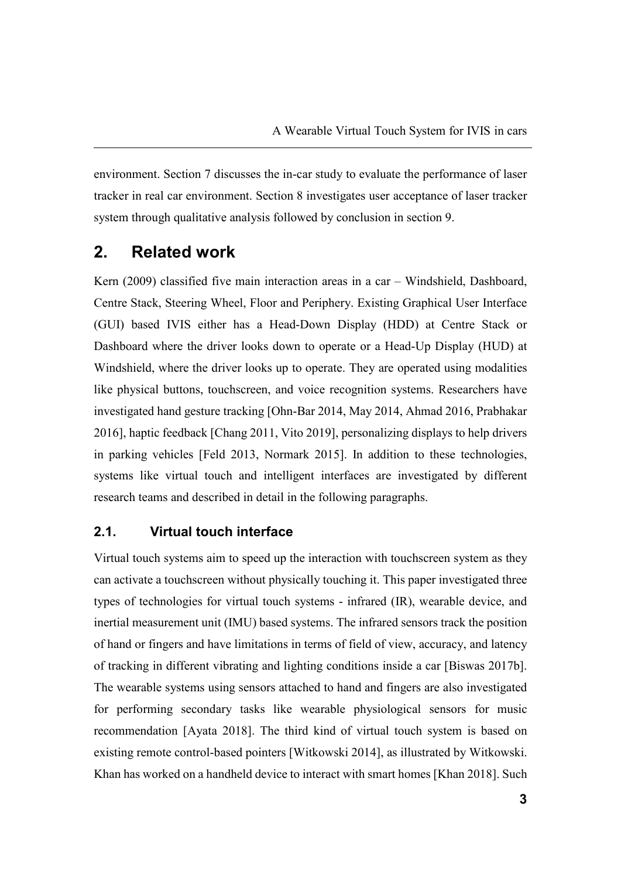environment. Section 7 discusses the in-car study to evaluate the performance of laser tracker in real car environment. Section 8 investigates user acceptance of laser tracker system through qualitative analysis followed by conclusion in section 9.

# **2. Related work**

Kern (2009) classified five main interaction areas in a car – Windshield, Dashboard, Centre Stack, Steering Wheel, Floor and Periphery. Existing Graphical User Interface (GUI) based IVIS either has a Head-Down Display (HDD) at Centre Stack or Dashboard where the driver looks down to operate or a Head-Up Display (HUD) at Windshield, where the driver looks up to operate. They are operated using modalities like physical buttons, touchscreen, and voice recognition systems. Researchers have investigated hand gesture tracking [Ohn-Bar 2014, May 2014, Ahmad 2016, Prabhakar 2016], haptic feedback [Chang 2011, Vito 2019], personalizing displays to help drivers in parking vehicles [Feld 2013, Normark 2015]. In addition to these technologies, systems like virtual touch and intelligent interfaces are investigated by different research teams and described in detail in the following paragraphs.

## **2.1. Virtual touch interface**

Virtual touch systems aim to speed up the interaction with touchscreen system as they can activate a touchscreen without physically touching it. This paper investigated three types of technologies for virtual touch systems - infrared (IR), wearable device, and inertial measurement unit (IMU) based systems. The infrared sensors track the position of hand or fingers and have limitations in terms of field of view, accuracy, and latency of tracking in different vibrating and lighting conditions inside a car [Biswas 2017b]. The wearable systems using sensors attached to hand and fingers are also investigated for performing secondary tasks like wearable physiological sensors for music recommendation [Ayata 2018]. The third kind of virtual touch system is based on existing remote control-based pointers [Witkowski 2014], as illustrated by Witkowski. Khan has worked on a handheld device to interact with smart homes [Khan 2018]. Such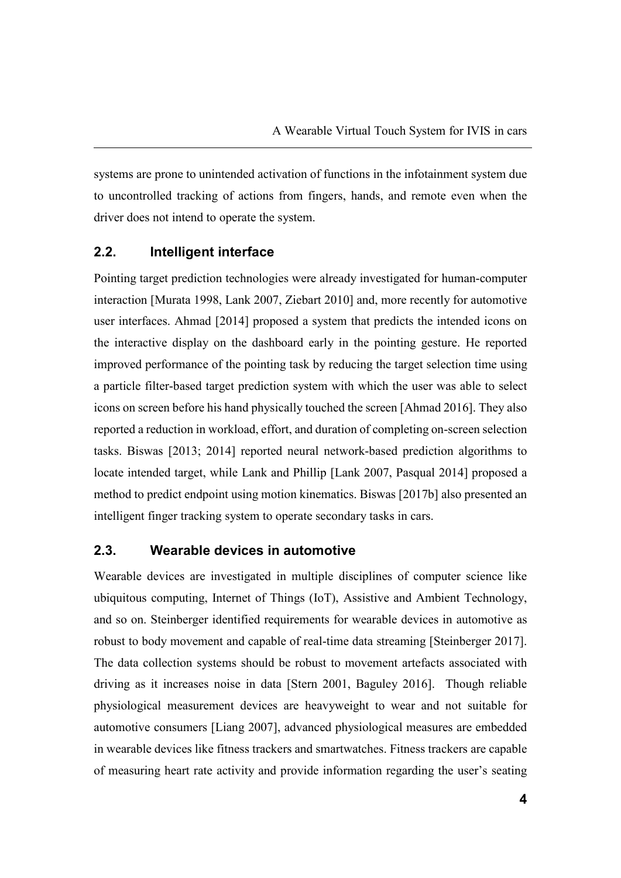systems are prone to unintended activation of functions in the infotainment system due to uncontrolled tracking of actions from fingers, hands, and remote even when the driver does not intend to operate the system.

#### **2.2. Intelligent interface**

Pointing target prediction technologies were already investigated for human-computer interaction [Murata 1998, Lank 2007, Ziebart 2010] and, more recently for automotive user interfaces. Ahmad [2014] proposed a system that predicts the intended icons on the interactive display on the dashboard early in the pointing gesture. He reported improved performance of the pointing task by reducing the target selection time using a particle filter-based target prediction system with which the user was able to select icons on screen before his hand physically touched the screen [Ahmad 2016]. They also reported a reduction in workload, effort, and duration of completing on-screen selection tasks. Biswas [2013; 2014] reported neural network-based prediction algorithms to locate intended target, while Lank and Phillip [Lank 2007, Pasqual 2014] proposed a method to predict endpoint using motion kinematics. Biswas [2017b] also presented an intelligent finger tracking system to operate secondary tasks in cars.

#### **2.3. Wearable devices in automotive**

Wearable devices are investigated in multiple disciplines of computer science like ubiquitous computing, Internet of Things (IoT), Assistive and Ambient Technology, and so on. Steinberger identified requirements for wearable devices in automotive as robust to body movement and capable of real-time data streaming [Steinberger 2017]. The data collection systems should be robust to movement artefacts associated with driving as it increases noise in data [Stern 2001, Baguley 2016]. Though reliable physiological measurement devices are heavyweight to wear and not suitable for automotive consumers [Liang 2007], advanced physiological measures are embedded in wearable devices like fitness trackers and smartwatches. Fitness trackers are capable of measuring heart rate activity and provide information regarding the user's seating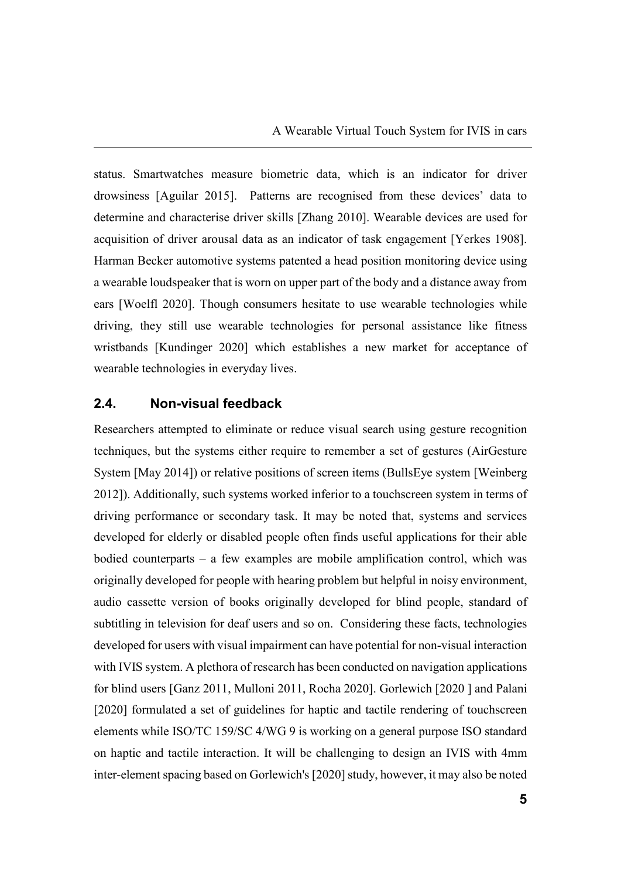status. Smartwatches measure biometric data, which is an indicator for driver drowsiness [Aguilar 2015]. Patterns are recognised from these devices' data to determine and characterise driver skills [Zhang 2010]. Wearable devices are used for acquisition of driver arousal data as an indicator of task engagement [Yerkes 1908]. Harman Becker automotive systems patented a head position monitoring device using a wearable loudspeaker that is worn on upper part of the body and a distance away from ears [Woelfl 2020]. Though consumers hesitate to use wearable technologies while driving, they still use wearable technologies for personal assistance like fitness wristbands [Kundinger 2020] which establishes a new market for acceptance of wearable technologies in everyday lives.

#### **2.4. Non-visual feedback**

Researchers attempted to eliminate or reduce visual search using gesture recognition techniques, but the systems either require to remember a set of gestures (AirGesture System [May 2014]) or relative positions of screen items (BullsEye system [Weinberg 2012]). Additionally, such systems worked inferior to a touchscreen system in terms of driving performance or secondary task. It may be noted that, systems and services developed for elderly or disabled people often finds useful applications for their able bodied counterparts – a few examples are mobile amplification control, which was originally developed for people with hearing problem but helpful in noisy environment, audio cassette version of books originally developed for blind people, standard of subtitling in television for deaf users and so on. Considering these facts, technologies developed for users with visual impairment can have potential for non-visual interaction with IVIS system. A plethora of research has been conducted on navigation applications for blind users [Ganz 2011, Mulloni 2011, Rocha 2020]. Gorlewich [2020 ] and Palani [2020] formulated a set of guidelines for haptic and tactile rendering of touchscreen elements while ISO/TC 159/SC 4/WG 9 is working on a general purpose ISO standard on haptic and tactile interaction. It will be challenging to design an IVIS with 4mm inter-element spacing based on Gorlewich's [2020] study, however, it may also be noted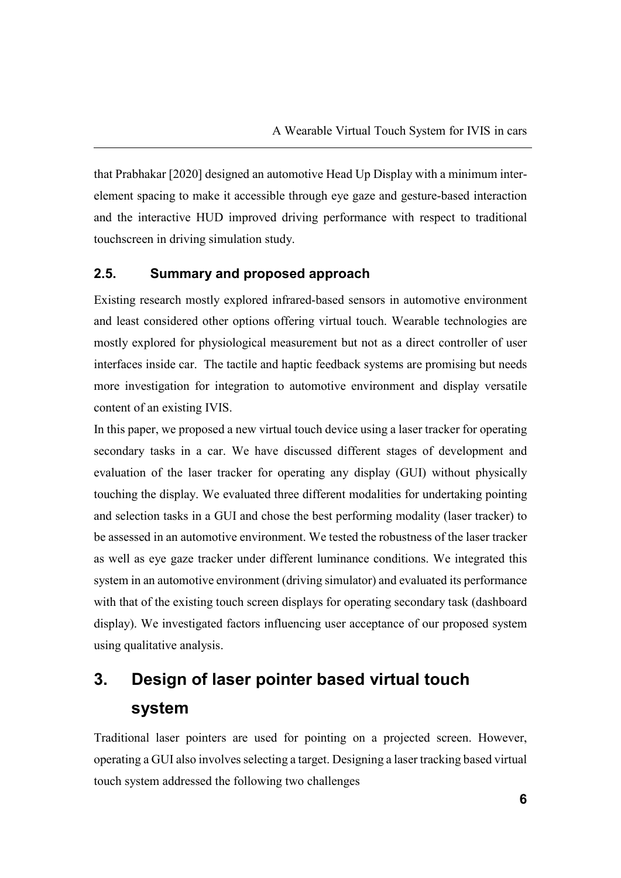that Prabhakar [2020] designed an automotive Head Up Display with a minimum interelement spacing to make it accessible through eye gaze and gesture-based interaction and the interactive HUD improved driving performance with respect to traditional touchscreen in driving simulation study.

#### **2.5. Summary and proposed approach**

Existing research mostly explored infrared-based sensors in automotive environment and least considered other options offering virtual touch. Wearable technologies are mostly explored for physiological measurement but not as a direct controller of user interfaces inside car. The tactile and haptic feedback systems are promising but needs more investigation for integration to automotive environment and display versatile content of an existing IVIS.

In this paper, we proposed a new virtual touch device using a laser tracker for operating secondary tasks in a car. We have discussed different stages of development and evaluation of the laser tracker for operating any display (GUI) without physically touching the display. We evaluated three different modalities for undertaking pointing and selection tasks in a GUI and chose the best performing modality (laser tracker) to be assessed in an automotive environment. We tested the robustness of the laser tracker as well as eye gaze tracker under different luminance conditions. We integrated this system in an automotive environment (driving simulator) and evaluated its performance with that of the existing touch screen displays for operating secondary task (dashboard display). We investigated factors influencing user acceptance of our proposed system using qualitative analysis.

# **3. Design of laser pointer based virtual touch system**

Traditional laser pointers are used for pointing on a projected screen. However, operating a GUI also involves selecting a target. Designing a laser tracking based virtual touch system addressed the following two challenges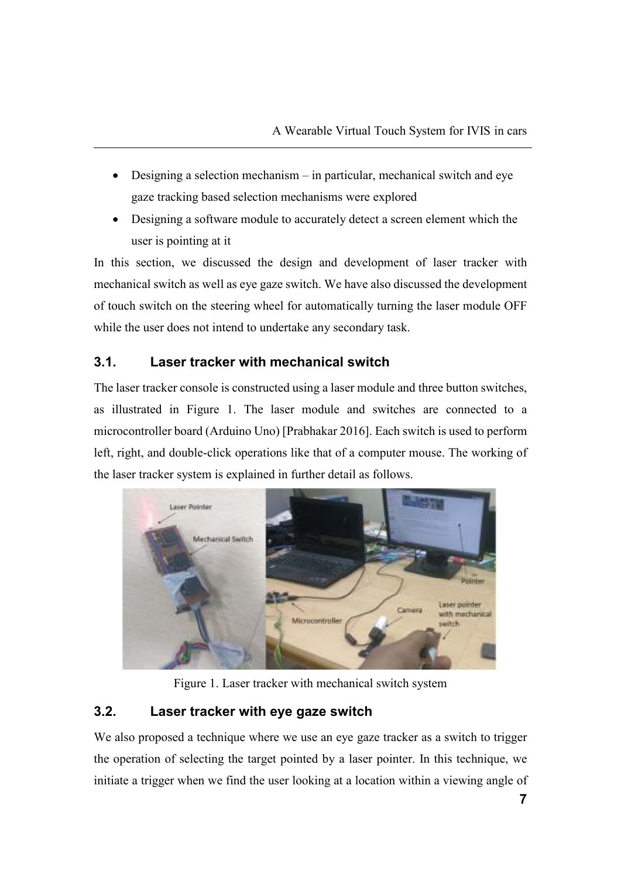- Designing a selection mechanism in particular, mechanical switch and eye gaze tracking based selection mechanisms were explored
- Designing a software module to accurately detect a screen element which the user is pointing at it

In this section, we discussed the design and development of laser tracker with mechanical switch as well as eye gaze switch. We have also discussed the development of touch switch on the steering wheel for automatically turning the laser module OFF while the user does not intend to undertake any secondary task.

# **3.1. Laser tracker with mechanical switch**

The laser tracker console is constructed using a laser module and three button switches, as illustrated in Figure 1. The laser module and switches are connected to a microcontroller board (Arduino Uno) [Prabhakar 2016]. Each switch is used to perform left, right, and double-click operations like that of a computer mouse. The working of the laser tracker system is explained in further detail as follows.



Figure 1. Laser tracker with mechanical switch system

# **3.2. Laser tracker with eye gaze switch**

We also proposed a technique where we use an eye gaze tracker as a switch to trigger the operation of selecting the target pointed by a laser pointer. In this technique, we initiate a trigger when we find the user looking at a location within a viewing angle of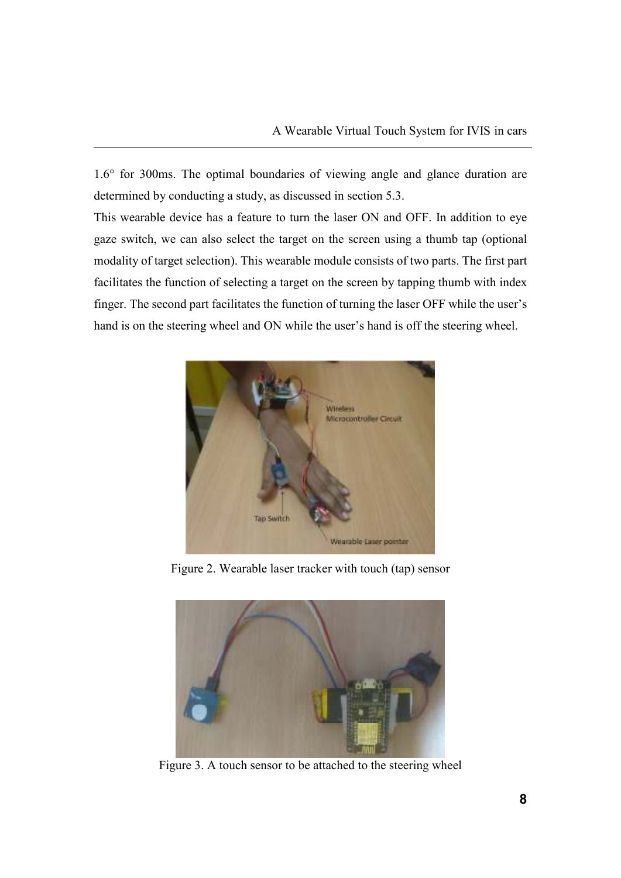1.6° for 300ms. The optimal boundaries of viewing angle and glance duration are determined by conducting a study, as discussed in section 5.3.

This wearable device has a feature to turn the laser ON and OFF. In addition to eye gaze switch, we can also select the target on the screen using a thumb tap (optional modality of target selection). This wearable module consists of two parts. The first part facilitates the function of selecting a target on the screen by tapping thumb with index finger. The second part facilitates the function of turning the laser OFF while the user's hand is on the steering wheel and ON while the user's hand is off the steering wheel.



Figure 2. Wearable laser tracker with touch (tap) sensor



Figure 3. A touch sensor to be attached to the steering wheel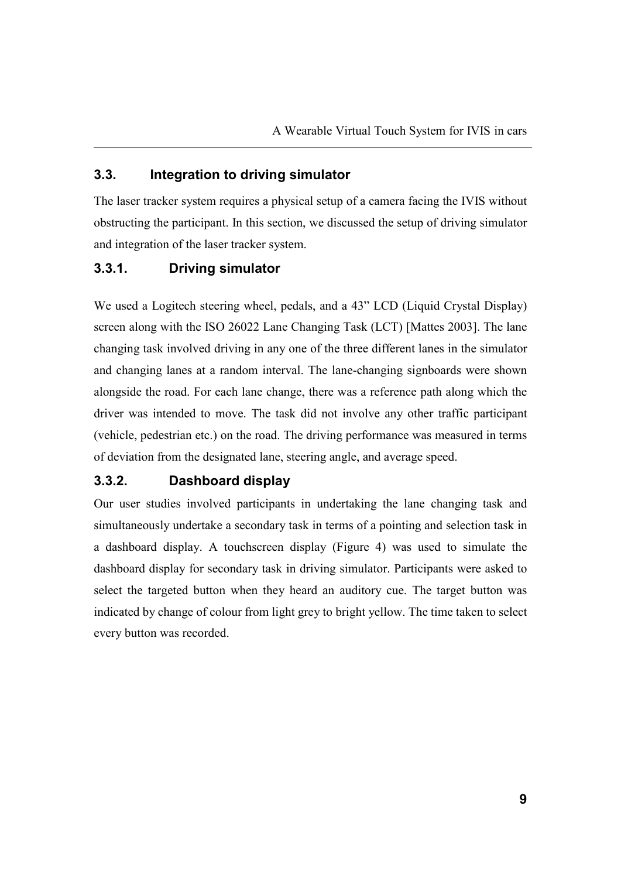#### **3.3. Integration to driving simulator**

The laser tracker system requires a physical setup of a camera facing the IVIS without obstructing the participant. In this section, we discussed the setup of driving simulator and integration of the laser tracker system.

## **3.3.1. Driving simulator**

We used a Logitech steering wheel, pedals, and a 43" LCD (Liquid Crystal Display) screen along with the ISO 26022 Lane Changing Task (LCT) [Mattes 2003]. The lane changing task involved driving in any one of the three different lanes in the simulator and changing lanes at a random interval. The lane-changing signboards were shown alongside the road. For each lane change, there was a reference path along which the driver was intended to move. The task did not involve any other traffic participant (vehicle, pedestrian etc.) on the road. The driving performance was measured in terms of deviation from the designated lane, steering angle, and average speed.

## **3.3.2. Dashboard display**

Our user studies involved participants in undertaking the lane changing task and simultaneously undertake a secondary task in terms of a pointing and selection task in a dashboard display. A touchscreen display (Figure 4) was used to simulate the dashboard display for secondary task in driving simulator. Participants were asked to select the targeted button when they heard an auditory cue. The target button was indicated by change of colour from light grey to bright yellow. The time taken to select every button was recorded.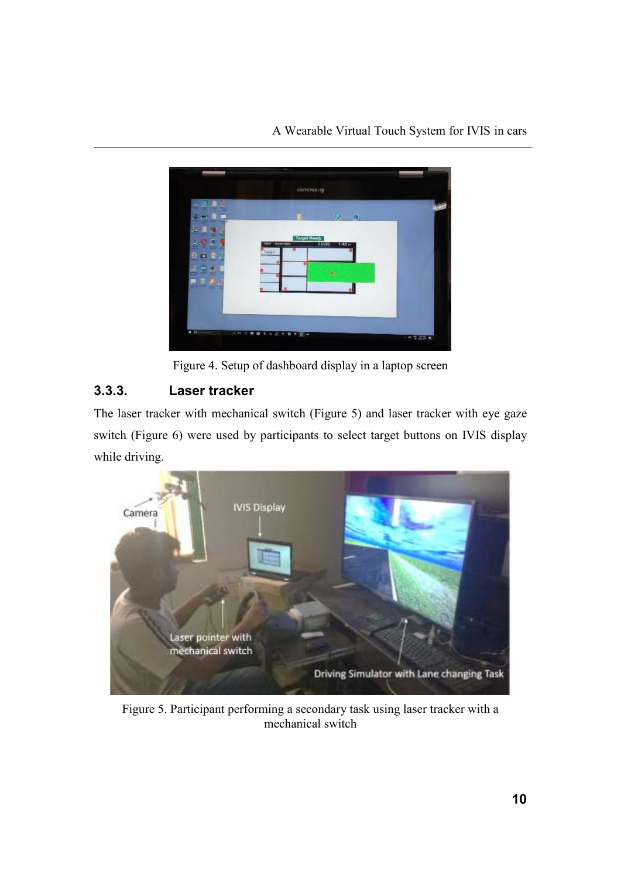

Figure 4. Setup of dashboard display in a laptop screen

# **3.3.3. Laser tracker**

The laser tracker with mechanical switch (Figure 5) and laser tracker with eye gaze switch (Figure 6) were used by participants to select target buttons on IVIS display while driving.



Figure 5. Participant performing a secondary task using laser tracker with a mechanical switch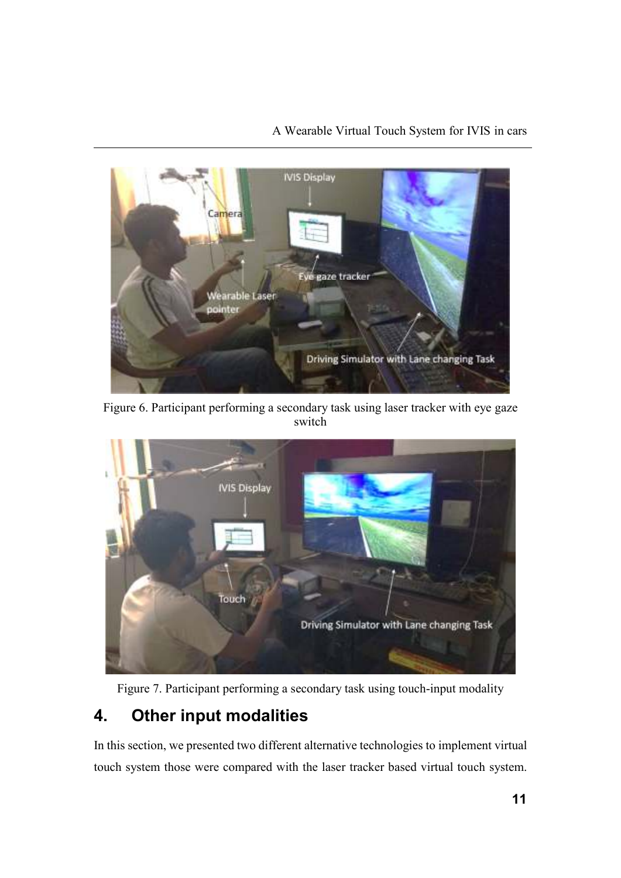# A Wearable Virtual Touch System for IVIS in cars



Figure 6. Participant performing a secondary task using laser tracker with eye gaze switch



Figure 7. Participant performing a secondary task using touch-input modality

# **4. Other input modalities**

In this section, we presented two different alternative technologies to implement virtual touch system those were compared with the laser tracker based virtual touch system.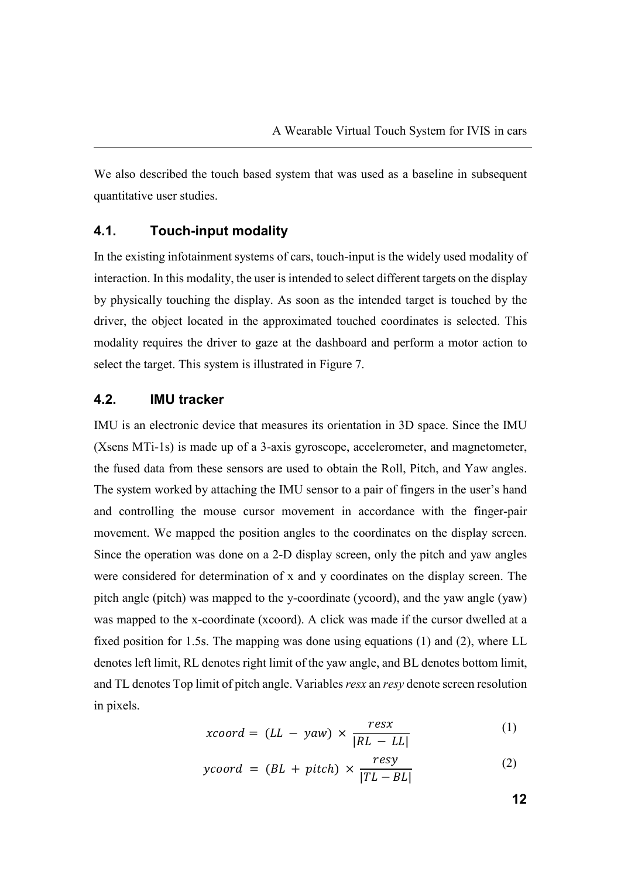We also described the touch based system that was used as a baseline in subsequent quantitative user studies.

#### **4.1. Touch-input modality**

In the existing infotainment systems of cars, touch-input is the widely used modality of interaction. In this modality, the user is intended to select different targets on the display by physically touching the display. As soon as the intended target is touched by the driver, the object located in the approximated touched coordinates is selected. This modality requires the driver to gaze at the dashboard and perform a motor action to select the target. This system is illustrated in Figure 7.

#### **4.2. IMU tracker**

IMU is an electronic device that measures its orientation in 3D space. Since the IMU (Xsens MTi-1s) is made up of a 3-axis gyroscope, accelerometer, and magnetometer, the fused data from these sensors are used to obtain the Roll, Pitch, and Yaw angles. The system worked by attaching the IMU sensor to a pair of fingers in the user's hand and controlling the mouse cursor movement in accordance with the finger-pair movement. We mapped the position angles to the coordinates on the display screen. Since the operation was done on a 2-D display screen, only the pitch and yaw angles were considered for determination of x and y coordinates on the display screen. The pitch angle (pitch) was mapped to the y-coordinate (ycoord), and the yaw angle (yaw) was mapped to the x-coordinate (xcoord). A click was made if the cursor dwelled at a fixed position for 1.5s. The mapping was done using equations (1) and (2), where LL denotes left limit, RL denotes right limit of the yaw angle, and BL denotes bottom limit, and TL denotes Top limit of pitch angle. Variables *resx* an *resy* denote screen resolution in pixels.

$$
xcoord = (LL - yaw) \times \frac{resx}{|RL - LL|}
$$
 (1)

$$
ycoord = (BL + pitch) \times \frac{resy}{|TL - BL|}
$$
 (2)

**12**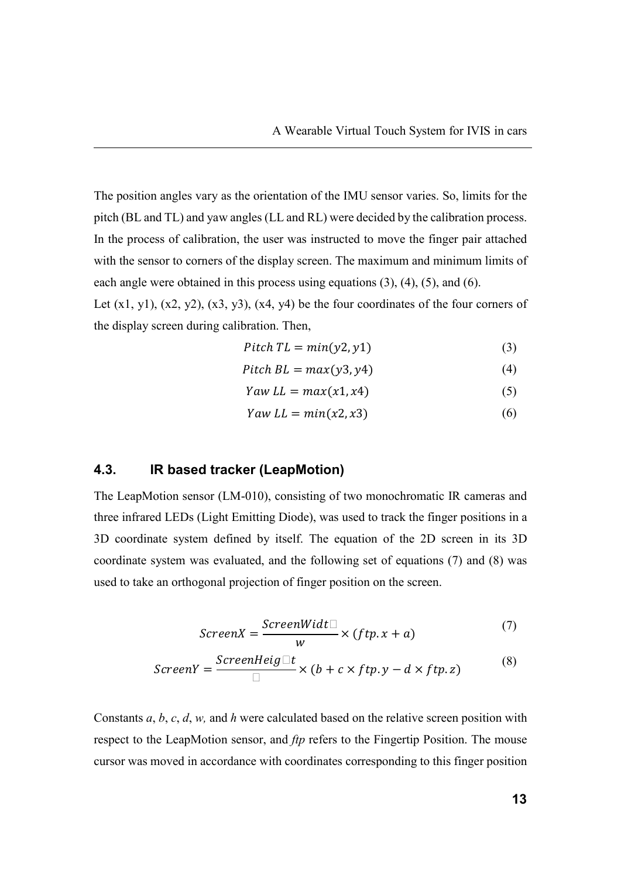The position angles vary as the orientation of the IMU sensor varies. So, limits for the pitch (BL and TL) and yaw angles (LL and RL) were decided by the calibration process. In the process of calibration, the user was instructed to move the finger pair attached with the sensor to corners of the display screen. The maximum and minimum limits of each angle were obtained in this process using equations (3), (4), (5), and (6).

Let  $(x1, y1)$ ,  $(x2, y2)$ ,  $(x3, y3)$ ,  $(x4, y4)$  be the four coordinates of the four corners of the display screen during calibration. Then,

$$
Pitch\;TL = min(y2, y1) \tag{3}
$$

$$
Pitch BL = max(y3, y4)
$$
 (4)

$$
Yaw LL = max(x1, x4) \tag{5}
$$

$$
Yaw LL = min(x2, x3) \tag{6}
$$

#### **4.3. IR based tracker (LeapMotion)**

The LeapMotion sensor (LM-010), consisting of two monochromatic IR cameras and three infrared LEDs (Light Emitting Diode), was used to track the finger positions in a 3D coordinate system defined by itself. The equation of the 2D screen in its 3D coordinate system was evaluated, and the following set of equations (7) and (8) was used to take an orthogonal projection of finger position on the screen.

$$
ScreenX = \frac{ScreenWidth}{w} \times (ftp.x + a)
$$
 (7)

$$
ScreenY = \frac{ScreenHeight}{} \times (b + c \timesfty) - d \timesfty) \tag{8}
$$

Constants *a*, *b*, *c*, *d*, *w,* and *h* were calculated based on the relative screen position with respect to the LeapMotion sensor, and *ftp* refers to the Fingertip Position. The mouse cursor was moved in accordance with coordinates corresponding to this finger position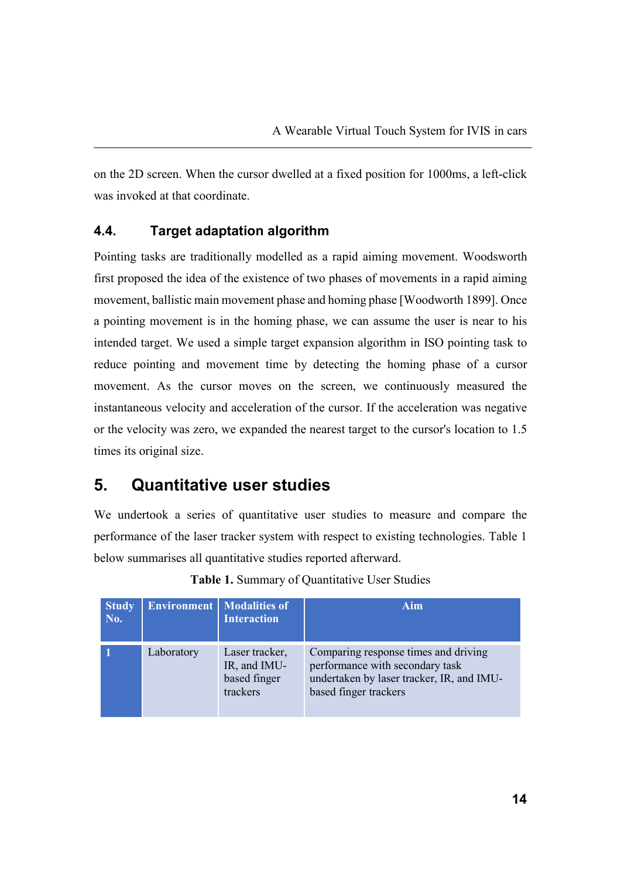on the 2D screen. When the cursor dwelled at a fixed position for 1000ms, a left-click was invoked at that coordinate.

# **4.4. Target adaptation algorithm**

Pointing tasks are traditionally modelled as a rapid aiming movement. Woodsworth first proposed the idea of the existence of two phases of movements in a rapid aiming movement, ballistic main movement phase and homing phase [Woodworth 1899]. Once a pointing movement is in the homing phase, we can assume the user is near to his intended target. We used a simple target expansion algorithm in ISO pointing task to reduce pointing and movement time by detecting the homing phase of a cursor movement. As the cursor moves on the screen, we continuously measured the instantaneous velocity and acceleration of the cursor. If the acceleration was negative or the velocity was zero, we expanded the nearest target to the cursor's location to 1.5 times its original size.

# **5. Quantitative user studies**

We undertook a series of quantitative user studies to measure and compare the performance of the laser tracker system with respect to existing technologies. Table 1 below summarises all quantitative studies reported afterward.

| <b>Study</b><br>No. |            | <b>Environment</b> Modalities of<br><b>Interaction</b>     | Aim                                                                                                                                           |
|---------------------|------------|------------------------------------------------------------|-----------------------------------------------------------------------------------------------------------------------------------------------|
|                     | Laboratory | Laser tracker,<br>IR, and IMU-<br>based finger<br>trackers | Comparing response times and driving<br>performance with secondary task<br>undertaken by laser tracker, IR, and IMU-<br>based finger trackers |

| Table 1. Summary of Quantitative User Studies |  |
|-----------------------------------------------|--|
|-----------------------------------------------|--|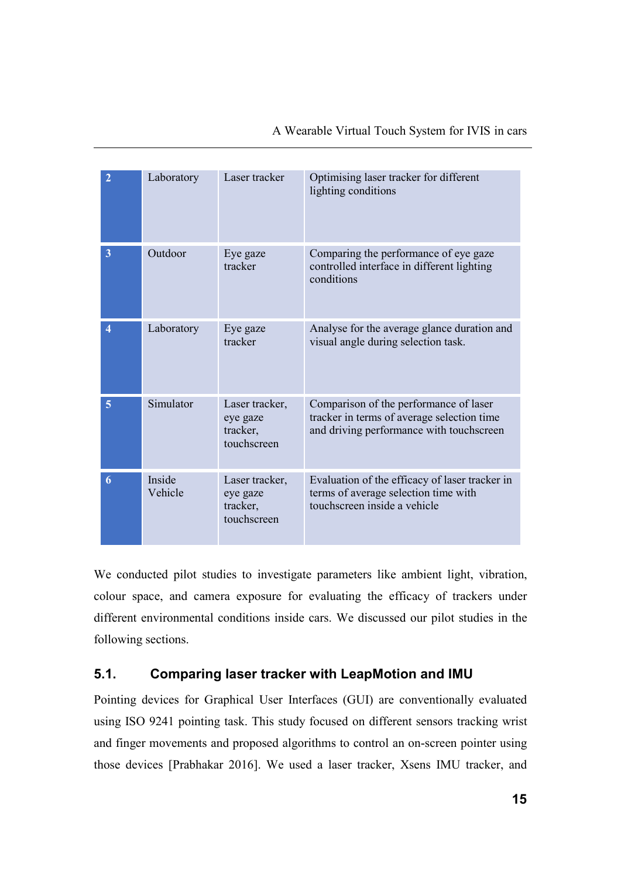|  | A Wearable Virtual Touch System for IVIS in cars |  |  |  |  |  |  |
|--|--------------------------------------------------|--|--|--|--|--|--|
|--|--------------------------------------------------|--|--|--|--|--|--|

| $\overline{2}$   | Laboratory        | Laser tracker                                         | Optimising laser tracker for different<br>lighting conditions                                                                    |  |  |
|------------------|-------------------|-------------------------------------------------------|----------------------------------------------------------------------------------------------------------------------------------|--|--|
| 3                | Outdoor           | Eye gaze<br>tracker                                   | Comparing the performance of eye gaze<br>controlled interface in different lighting<br>conditions                                |  |  |
| $\boldsymbol{4}$ | Laboratory        | Eye gaze<br>tracker                                   | Analyse for the average glance duration and<br>visual angle during selection task.                                               |  |  |
| 5                | Simulator         | Laser tracker,<br>eye gaze<br>tracker,<br>touchscreen | Comparison of the performance of laser<br>tracker in terms of average selection time<br>and driving performance with touchscreen |  |  |
| 6                | Inside<br>Vehicle | Laser tracker,<br>eye gaze<br>tracker,<br>touchscreen | Evaluation of the efficacy of laser tracker in<br>terms of average selection time with<br>touchscreen inside a vehicle           |  |  |

We conducted pilot studies to investigate parameters like ambient light, vibration, colour space, and camera exposure for evaluating the efficacy of trackers under different environmental conditions inside cars. We discussed our pilot studies in the following sections.

# **5.1. Comparing laser tracker with LeapMotion and IMU**

Pointing devices for Graphical User Interfaces (GUI) are conventionally evaluated using ISO 9241 pointing task. This study focused on different sensors tracking wrist and finger movements and proposed algorithms to control an on-screen pointer using those devices [Prabhakar 2016]. We used a laser tracker, Xsens IMU tracker, and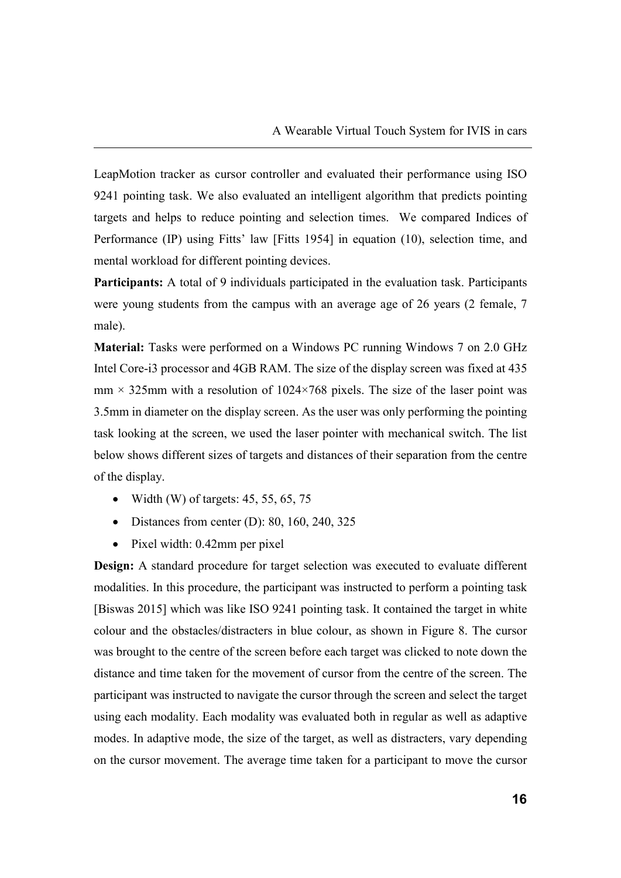LeapMotion tracker as cursor controller and evaluated their performance using ISO 9241 pointing task. We also evaluated an intelligent algorithm that predicts pointing targets and helps to reduce pointing and selection times. We compared Indices of Performance (IP) using Fitts' law [Fitts 1954] in equation (10), selection time, and mental workload for different pointing devices.

**Participants:** A total of 9 individuals participated in the evaluation task. Participants were young students from the campus with an average age of 26 years (2 female, 7 male).

**Material:** Tasks were performed on a Windows PC running Windows 7 on 2.0 GHz Intel Core-i3 processor and 4GB RAM. The size of the display screen was fixed at 435  $mm \times 325mm$  with a resolution of 1024×768 pixels. The size of the laser point was 3.5mm in diameter on the display screen. As the user was only performing the pointing task looking at the screen, we used the laser pointer with mechanical switch. The list below shows different sizes of targets and distances of their separation from the centre of the display.

- Width (W) of targets:  $45, 55, 65, 75$
- Distances from center (D): 80, 160, 240, 325
- Pixel width: 0.42mm per pixel

**Design:** A standard procedure for target selection was executed to evaluate different modalities. In this procedure, the participant was instructed to perform a pointing task [Biswas 2015] which was like ISO 9241 pointing task. It contained the target in white colour and the obstacles/distracters in blue colour, as shown in Figure 8. The cursor was brought to the centre of the screen before each target was clicked to note down the distance and time taken for the movement of cursor from the centre of the screen. The participant was instructed to navigate the cursor through the screen and select the target using each modality. Each modality was evaluated both in regular as well as adaptive modes. In adaptive mode, the size of the target, as well as distracters, vary depending on the cursor movement. The average time taken for a participant to move the cursor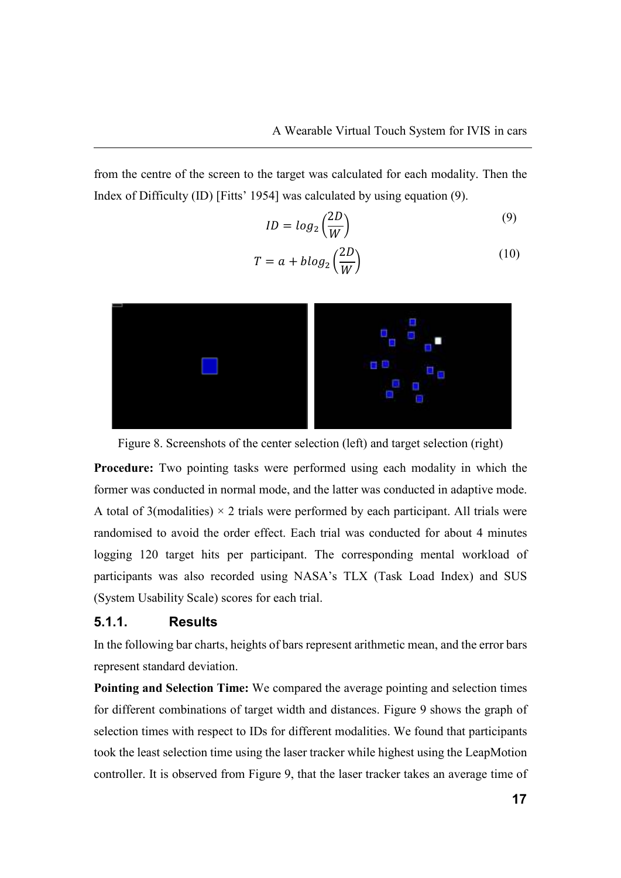from the centre of the screen to the target was calculated for each modality. Then the Index of Difficulty (ID) [Fitts' 1954] was calculated by using equation (9).

$$
ID = log_2\left(\frac{2D}{W}\right) \tag{9}
$$

$$
T = a + blog_2\left(\frac{2D}{W}\right) \tag{10}
$$



Figure 8. Screenshots of the center selection (left) and target selection (right)

**Procedure:** Two pointing tasks were performed using each modality in which the former was conducted in normal mode, and the latter was conducted in adaptive mode. A total of 3(modalities)  $\times$  2 trials were performed by each participant. All trials were randomised to avoid the order effect. Each trial was conducted for about 4 minutes logging 120 target hits per participant. The corresponding mental workload of participants was also recorded using NASA's TLX (Task Load Index) and SUS (System Usability Scale) scores for each trial.

#### **5.1.1. Results**

In the following bar charts, heights of bars represent arithmetic mean, and the error bars represent standard deviation.

**Pointing and Selection Time:** We compared the average pointing and selection times for different combinations of target width and distances. Figure 9 shows the graph of selection times with respect to IDs for different modalities. We found that participants took the least selection time using the laser tracker while highest using the LeapMotion controller. It is observed from Figure 9, that the laser tracker takes an average time of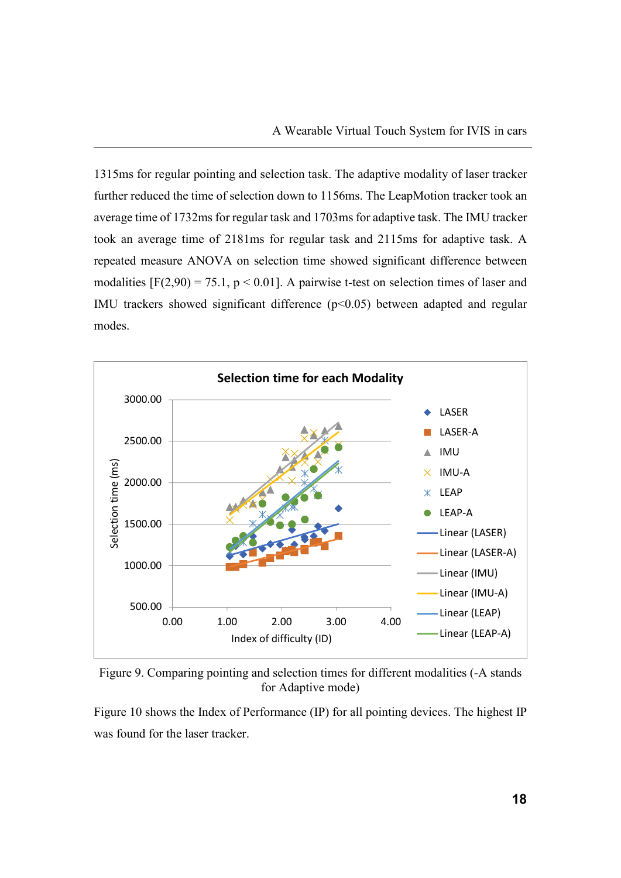1315ms for regular pointing and selection task. The adaptive modality of laser tracker further reduced the time of selection down to 1156ms. The LeapMotion tracker took an average time of 1732ms for regular task and 1703ms for adaptive task. The IMU tracker took an average time of 2181ms for regular task and 2115ms for adaptive task. A repeated measure ANOVA on selection time showed significant difference between modalities  $[F(2,90) = 75.1, p \le 0.01]$ . A pairwise t-test on selection times of laser and IMU trackers showed significant difference  $(p<0.05)$  between adapted and regular modes.





Figure 10 shows the Index of Performance (IP) for all pointing devices. The highest IP was found for the laser tracker.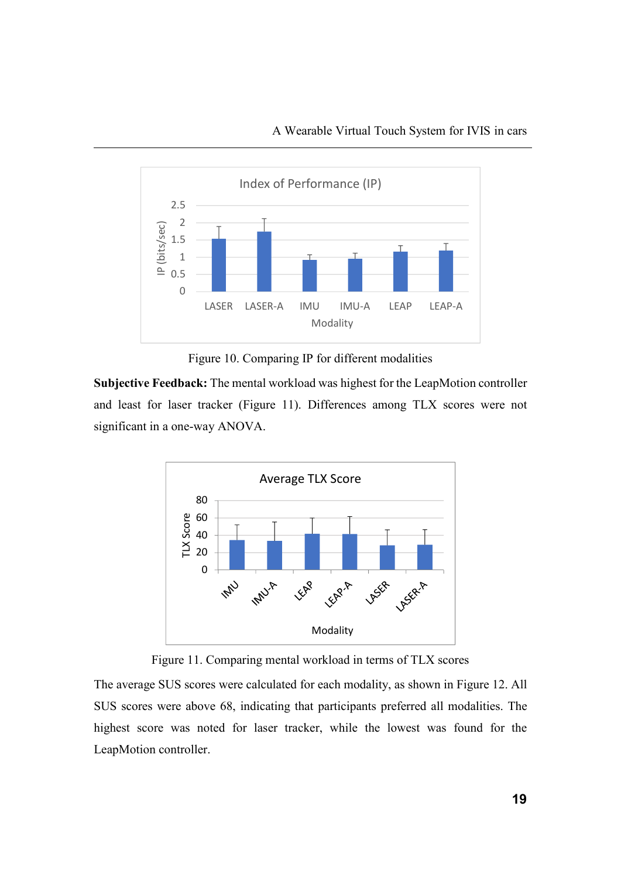

Figure 10. Comparing IP for different modalities

**Subjective Feedback:** The mental workload was highest for the LeapMotion controller and least for laser tracker (Figure 11). Differences among TLX scores were not significant in a one-way ANOVA.



Figure 11. Comparing mental workload in terms of TLX scores

The average SUS scores were calculated for each modality, as shown in Figure 12. All SUS scores were above 68, indicating that participants preferred all modalities. The highest score was noted for laser tracker, while the lowest was found for the LeapMotion controller.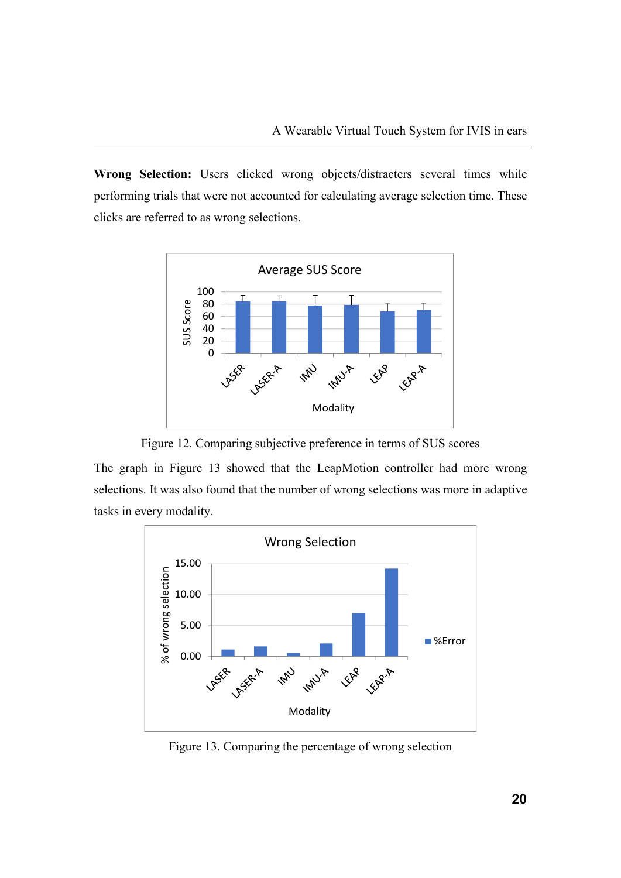Wrong Selection: Users clicked wrong objects/distracters several times while performing trials that were not accounted for calculating average selection time. These clicks are referred to as wrong selections.



Figure 12. Comparing subjective preference in terms of SUS scores

The graph in Figure 13 showed that the LeapMotion controller had more wrong selections. It was also found that the number of wrong selections was more in adaptive tasks in every modality.



Figure 13. Comparing the percentage of wrong selection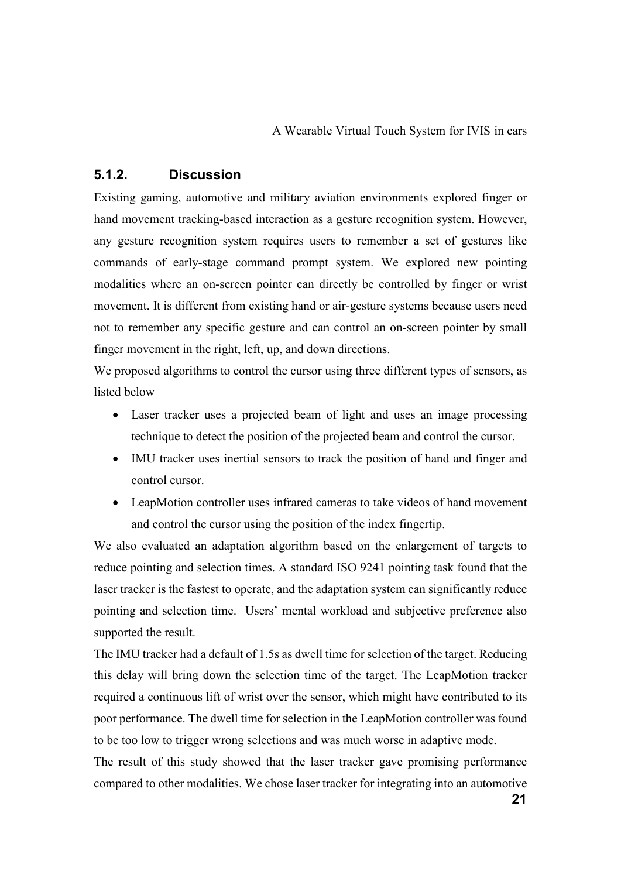#### **5.1.2. Discussion**

Existing gaming, automotive and military aviation environments explored finger or hand movement tracking-based interaction as a gesture recognition system. However, any gesture recognition system requires users to remember a set of gestures like commands of early-stage command prompt system. We explored new pointing modalities where an on-screen pointer can directly be controlled by finger or wrist movement. It is different from existing hand or air-gesture systems because users need not to remember any specific gesture and can control an on-screen pointer by small finger movement in the right, left, up, and down directions.

We proposed algorithms to control the cursor using three different types of sensors, as listed below

- Laser tracker uses a projected beam of light and uses an image processing technique to detect the position of the projected beam and control the cursor.
- IMU tracker uses inertial sensors to track the position of hand and finger and control cursor.
- LeapMotion controller uses infrared cameras to take videos of hand movement and control the cursor using the position of the index fingertip.

We also evaluated an adaptation algorithm based on the enlargement of targets to reduce pointing and selection times. A standard ISO 9241 pointing task found that the laser tracker is the fastest to operate, and the adaptation system can significantly reduce pointing and selection time. Users' mental workload and subjective preference also supported the result.

The IMU tracker had a default of 1.5s as dwell time for selection of the target. Reducing this delay will bring down the selection time of the target. The LeapMotion tracker required a continuous lift of wrist over the sensor, which might have contributed to its poor performance. The dwell time for selection in the LeapMotion controller was found to be too low to trigger wrong selections and was much worse in adaptive mode.

The result of this study showed that the laser tracker gave promising performance compared to other modalities. We chose laser tracker for integrating into an automotive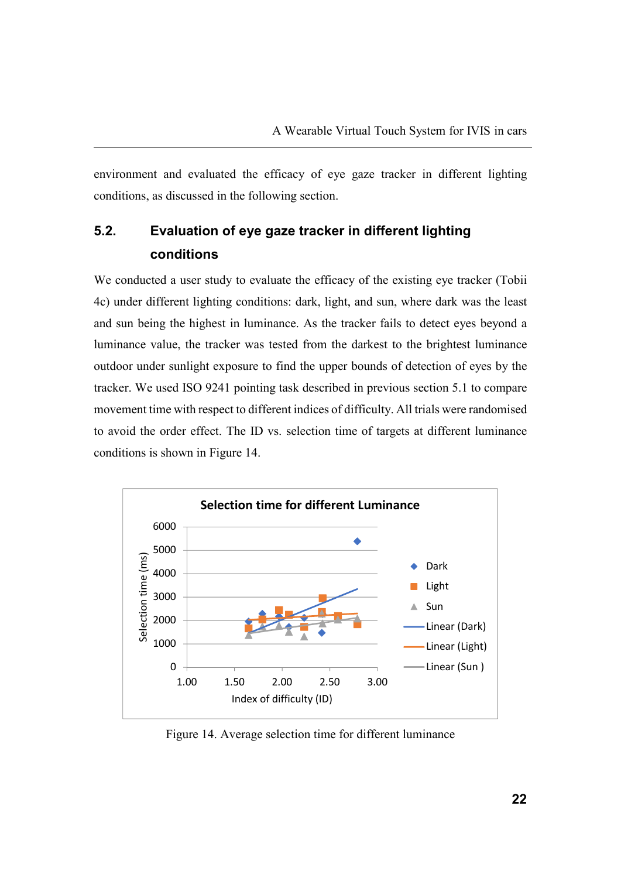environment and evaluated the efficacy of eye gaze tracker in different lighting conditions, as discussed in the following section.

# **5.2. Evaluation of eye gaze tracker in different lighting conditions**

We conducted a user study to evaluate the efficacy of the existing eye tracker (Tobii 4c) under different lighting conditions: dark, light, and sun, where dark was the least and sun being the highest in luminance. As the tracker fails to detect eyes beyond a luminance value, the tracker was tested from the darkest to the brightest luminance outdoor under sunlight exposure to find the upper bounds of detection of eyes by the tracker. We used ISO 9241 pointing task described in previous section 5.1 to compare movement time with respect to different indices of difficulty. All trials were randomised to avoid the order effect. The ID vs. selection time of targets at different luminance conditions is shown in Figure 14.



Figure 14. Average selection time for different luminance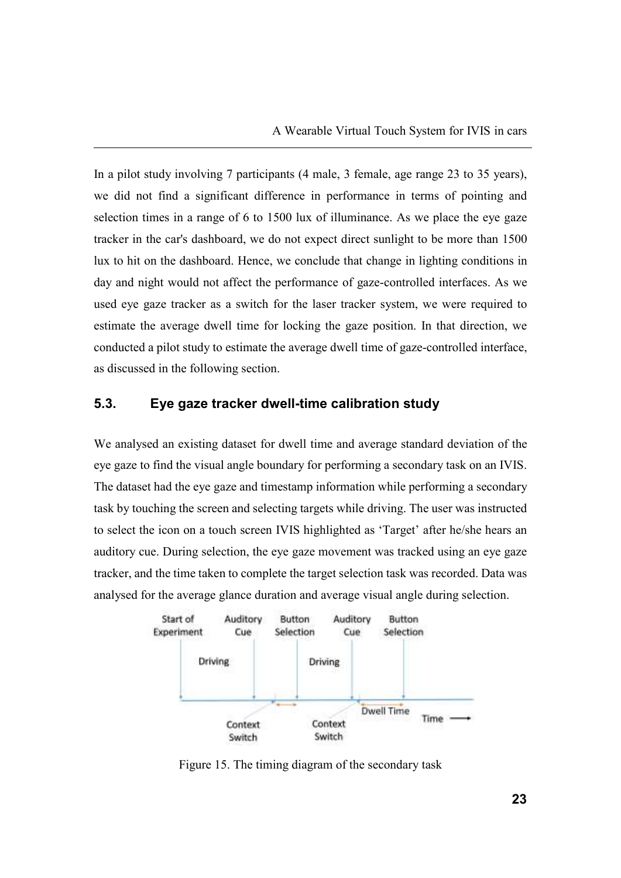In a pilot study involving 7 participants (4 male, 3 female, age range 23 to 35 years), we did not find a significant difference in performance in terms of pointing and selection times in a range of 6 to 1500 lux of illuminance. As we place the eye gaze tracker in the car's dashboard, we do not expect direct sunlight to be more than 1500 lux to hit on the dashboard. Hence, we conclude that change in lighting conditions in day and night would not affect the performance of gaze-controlled interfaces. As we used eye gaze tracker as a switch for the laser tracker system, we were required to estimate the average dwell time for locking the gaze position. In that direction, we conducted a pilot study to estimate the average dwell time of gaze-controlled interface, as discussed in the following section.

#### **5.3. Eye gaze tracker dwell-time calibration study**

We analysed an existing dataset for dwell time and average standard deviation of the eye gaze to find the visual angle boundary for performing a secondary task on an IVIS. The dataset had the eye gaze and timestamp information while performing a secondary task by touching the screen and selecting targets while driving. The user was instructed to select the icon on a touch screen IVIS highlighted as 'Target' after he/she hears an auditory cue. During selection, the eye gaze movement was tracked using an eye gaze tracker, and the time taken to complete the target selection task was recorded. Data was analysed for the average glance duration and average visual angle during selection.



Figure 15. The timing diagram of the secondary task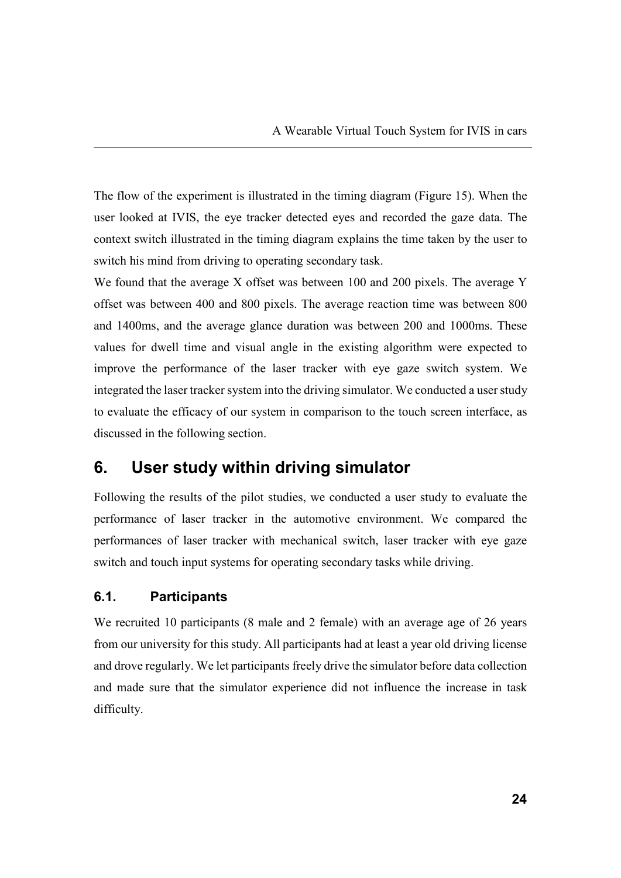The flow of the experiment is illustrated in the timing diagram (Figure 15). When the user looked at IVIS, the eye tracker detected eyes and recorded the gaze data. The context switch illustrated in the timing diagram explains the time taken by the user to switch his mind from driving to operating secondary task.

We found that the average X offset was between 100 and 200 pixels. The average Y offset was between 400 and 800 pixels. The average reaction time was between 800 and 1400ms, and the average glance duration was between 200 and 1000ms. These values for dwell time and visual angle in the existing algorithm were expected to improve the performance of the laser tracker with eye gaze switch system. We integrated the laser tracker system into the driving simulator. We conducted a user study to evaluate the efficacy of our system in comparison to the touch screen interface, as discussed in the following section.

# **6. User study within driving simulator**

Following the results of the pilot studies, we conducted a user study to evaluate the performance of laser tracker in the automotive environment. We compared the performances of laser tracker with mechanical switch, laser tracker with eye gaze switch and touch input systems for operating secondary tasks while driving.

#### **6.1. Participants**

We recruited 10 participants (8 male and 2 female) with an average age of 26 years from our university for this study. All participants had at least a year old driving license and drove regularly. We let participants freely drive the simulator before data collection and made sure that the simulator experience did not influence the increase in task difficulty.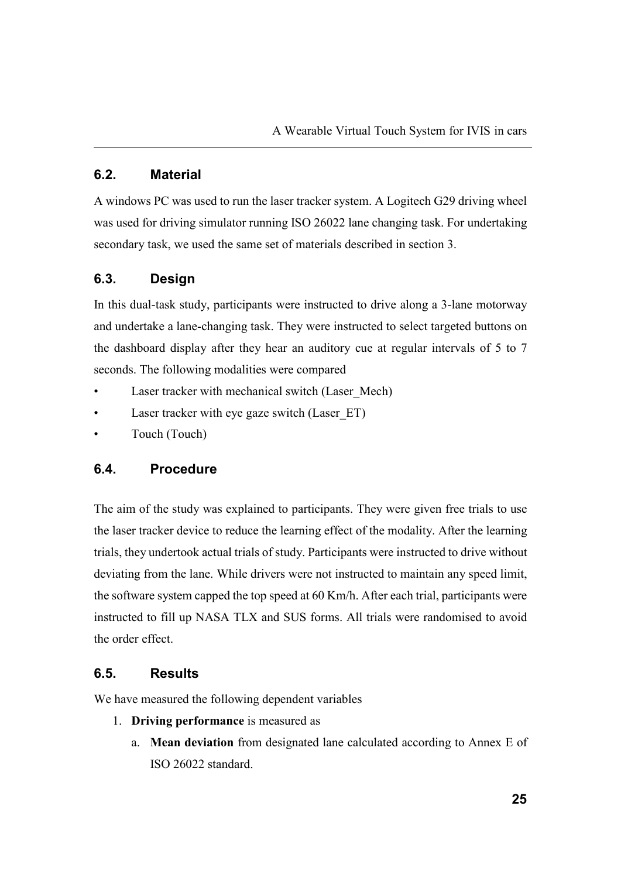## **6.2. Material**

A windows PC was used to run the laser tracker system. A Logitech G29 driving wheel was used for driving simulator running ISO 26022 lane changing task. For undertaking secondary task, we used the same set of materials described in section 3.

## **6.3. Design**

In this dual-task study, participants were instructed to drive along a 3-lane motorway and undertake a lane-changing task. They were instructed to select targeted buttons on the dashboard display after they hear an auditory cue at regular intervals of 5 to 7 seconds. The following modalities were compared

- Laser tracker with mechanical switch (Laser Mech)
- Laser tracker with eye gaze switch (Laser ET)
- Touch (Touch)

#### **6.4. Procedure**

The aim of the study was explained to participants. They were given free trials to use the laser tracker device to reduce the learning effect of the modality. After the learning trials, they undertook actual trials of study. Participants were instructed to drive without deviating from the lane. While drivers were not instructed to maintain any speed limit, the software system capped the top speed at 60 Km/h. After each trial, participants were instructed to fill up NASA TLX and SUS forms. All trials were randomised to avoid the order effect.

#### **6.5. Results**

We have measured the following dependent variables

- 1. **Driving performance** is measured as
	- a. **Mean deviation** from designated lane calculated according to Annex E of ISO 26022 standard.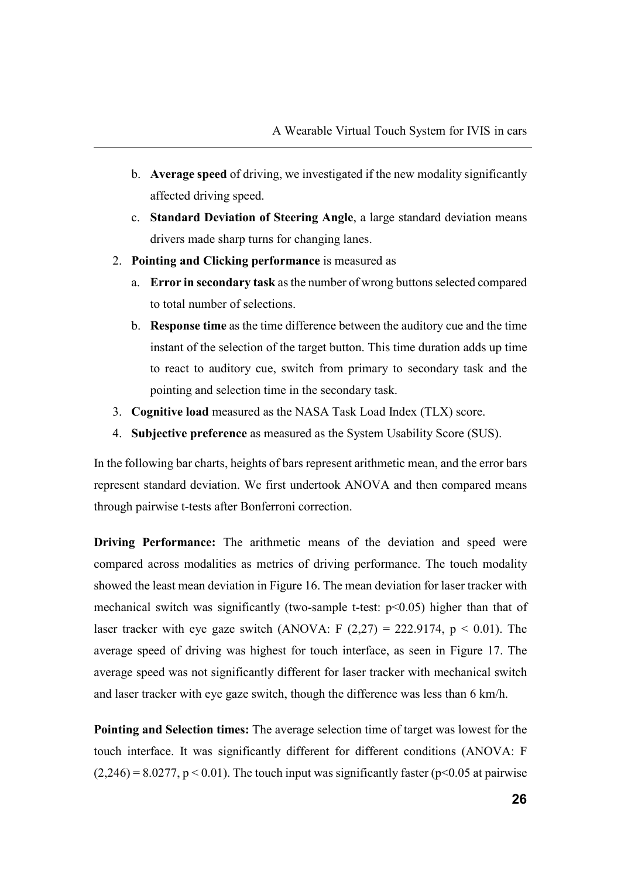- b. **Average speed** of driving, we investigated if the new modality significantly affected driving speed.
- c. **Standard Deviation of Steering Angle**, a large standard deviation means drivers made sharp turns for changing lanes.
- 2. **Pointing and Clicking performance** is measured as
	- a. **Error in secondary task** as the number of wrong buttons selected compared to total number of selections.
	- b. **Response time** as the time difference between the auditory cue and the time instant of the selection of the target button. This time duration adds up time to react to auditory cue, switch from primary to secondary task and the pointing and selection time in the secondary task.
- 3. **Cognitive load** measured as the NASA Task Load Index (TLX) score.
- 4. **Subjective preference** as measured as the System Usability Score (SUS).

In the following bar charts, heights of bars represent arithmetic mean, and the error bars represent standard deviation. We first undertook ANOVA and then compared means through pairwise t-tests after Bonferroni correction.

**Driving Performance:** The arithmetic means of the deviation and speed were compared across modalities as metrics of driving performance. The touch modality showed the least mean deviation in Figure 16. The mean deviation for laser tracker with mechanical switch was significantly (two-sample t-test:  $p<0.05$ ) higher than that of laser tracker with eye gaze switch (ANOVA: F  $(2,27) = 222.9174$ ,  $p < 0.01$ ). The average speed of driving was highest for touch interface, as seen in Figure 17. The average speed was not significantly different for laser tracker with mechanical switch and laser tracker with eye gaze switch, though the difference was less than 6 km/h.

**Pointing and Selection times:** The average selection time of target was lowest for the touch interface. It was significantly different for different conditions (ANOVA: F  $(2,246) = 8.0277$ ,  $p < 0.01$ ). The touch input was significantly faster ( $p < 0.05$  at pairwise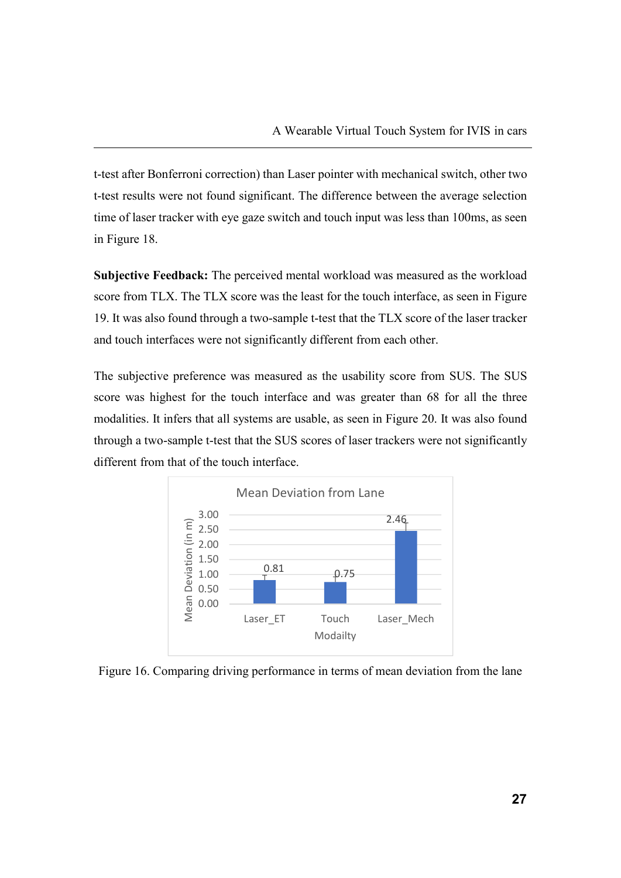t-test after Bonferroni correction) than Laser pointer with mechanical switch, other two t-test results were not found significant. The difference between the average selection time of laser tracker with eye gaze switch and touch input was less than 100ms, as seen in Figure 18.

**Subjective Feedback:** The perceived mental workload was measured as the workload score from TLX. The TLX score was the least for the touch interface, as seen in Figure 19. It was also found through a two-sample t-test that the TLX score of the laser tracker and touch interfaces were not significantly different from each other.

The subjective preference was measured as the usability score from SUS. The SUS score was highest for the touch interface and was greater than 68 for all the three modalities. It infers that all systems are usable, as seen in Figure 20. It was also found through a two-sample t-test that the SUS scores of laser trackers were not significantly different from that of the touch interface.



Figure 16. Comparing driving performance in terms of mean deviation from the lane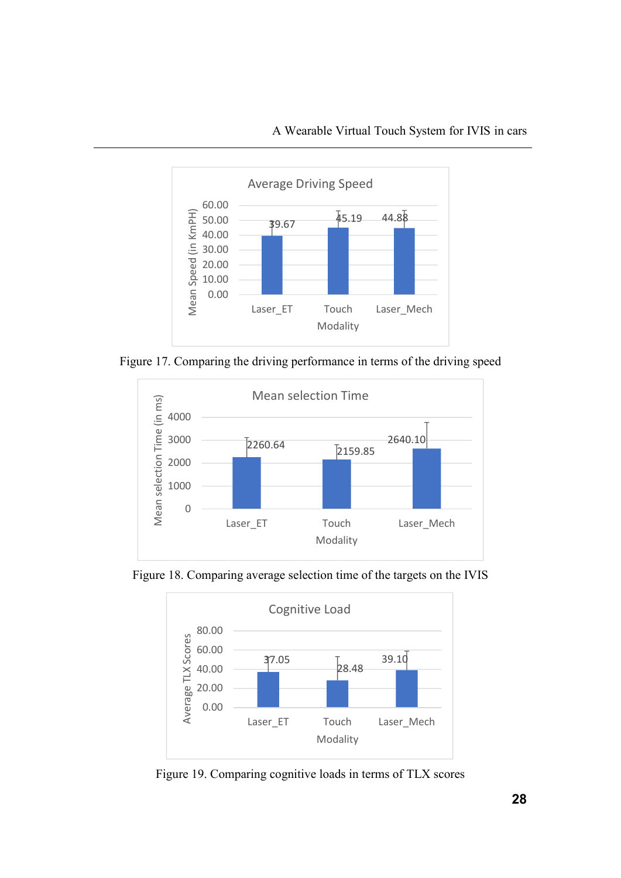

Figure 17. Comparing the driving performance in terms of the driving speed



Figure 18. Comparing average selection time of the targets on the IVIS



Figure 19. Comparing cognitive loads in terms of TLX scores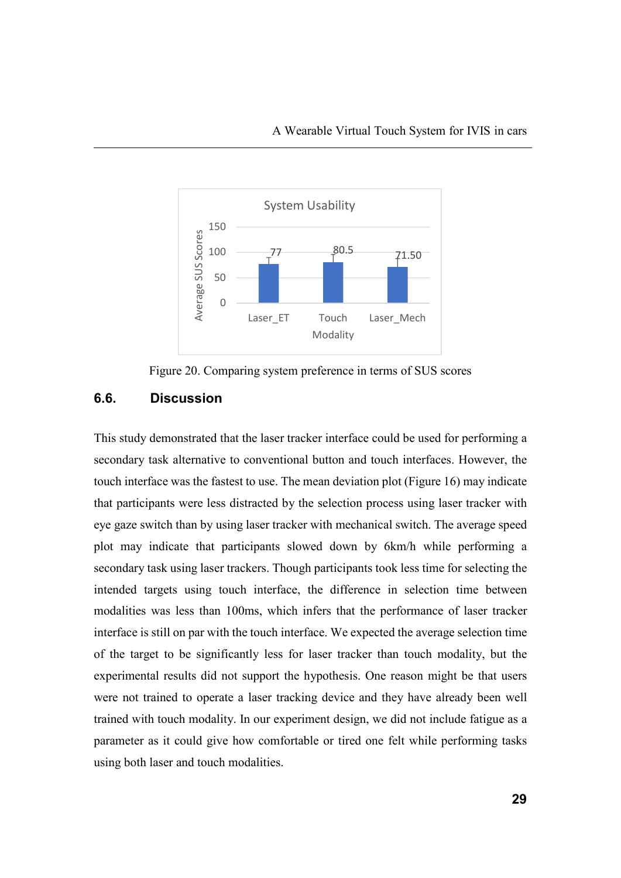

Figure 20. Comparing system preference in terms of SUS scores

#### **6.6. Discussion**

This study demonstrated that the laser tracker interface could be used for performing a secondary task alternative to conventional button and touch interfaces. However, the touch interface was the fastest to use. The mean deviation plot (Figure 16) may indicate that participants were less distracted by the selection process using laser tracker with eye gaze switch than by using laser tracker with mechanical switch. The average speed plot may indicate that participants slowed down by 6km/h while performing a secondary task using laser trackers. Though participants took less time for selecting the intended targets using touch interface, the difference in selection time between modalities was less than 100ms, which infers that the performance of laser tracker interface is still on par with the touch interface. We expected the average selection time of the target to be significantly less for laser tracker than touch modality, but the experimental results did not support the hypothesis. One reason might be that users were not trained to operate a laser tracking device and they have already been well trained with touch modality. In our experiment design, we did not include fatigue as a parameter as it could give how comfortable or tired one felt while performing tasks using both laser and touch modalities.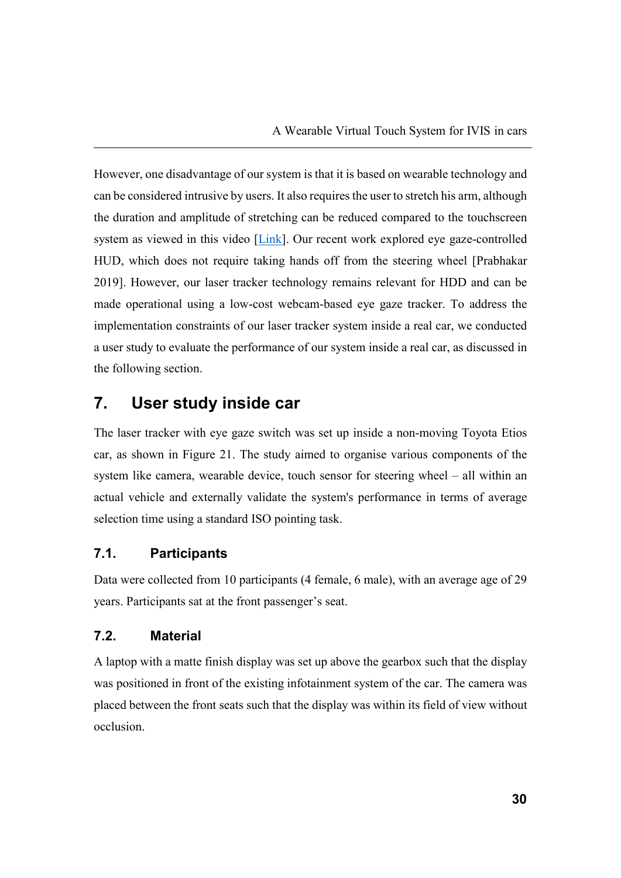However, one disadvantage of our system is that it is based on wearable technology and can be considered intrusive by users. It also requires the user to stretch his arm, although the duration and amplitude of stretching can be reduced compared to the touchscreen system as viewed in this video [Link]. Our recent work explored eye gaze-controlled HUD, which does not require taking hands off from the steering wheel [Prabhakar 2019]. However, our laser tracker technology remains relevant for HDD and can be made operational using a low-cost webcam-based eye gaze tracker. To address the implementation constraints of our laser tracker system inside a real car, we conducted a user study to evaluate the performance of our system inside a real car, as discussed in the following section.

# **7. User study inside car**

The laser tracker with eye gaze switch was set up inside a non-moving Toyota Etios car, as shown in Figure 21. The study aimed to organise various components of the system like camera, wearable device, touch sensor for steering wheel – all within an actual vehicle and externally validate the system's performance in terms of average selection time using a standard ISO pointing task.

#### **7.1. Participants**

Data were collected from 10 participants (4 female, 6 male), with an average age of 29 years. Participants sat at the front passenger's seat.

#### **7.2. Material**

A laptop with a matte finish display was set up above the gearbox such that the display was positioned in front of the existing infotainment system of the car. The camera was placed between the front seats such that the display was within its field of view without occlusion.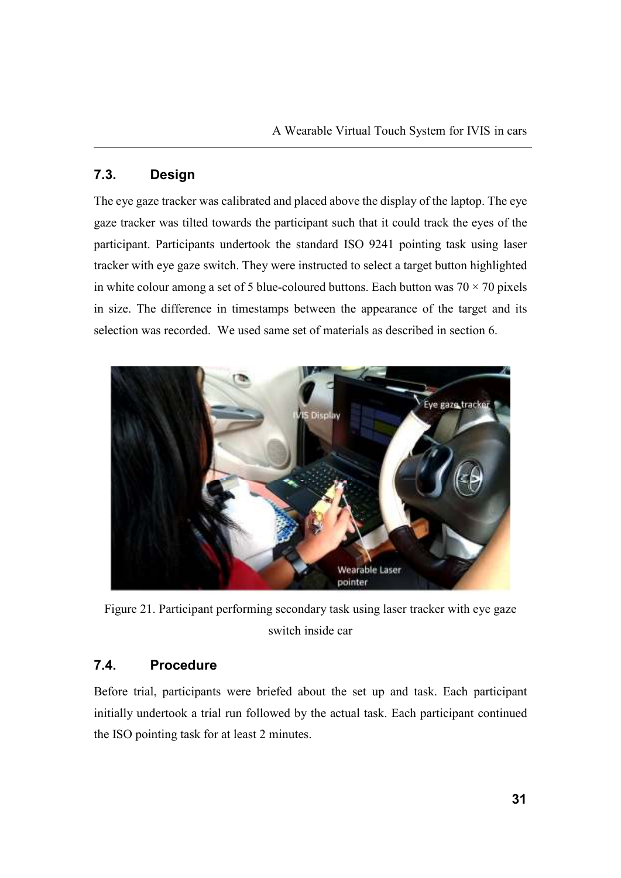# **7.3. Design**

The eye gaze tracker was calibrated and placed above the display of the laptop. The eye gaze tracker was tilted towards the participant such that it could track the eyes of the participant. Participants undertook the standard ISO 9241 pointing task using laser tracker with eye gaze switch. They were instructed to select a target button highlighted in white colour among a set of 5 blue-coloured buttons. Each button was  $70 \times 70$  pixels in size. The difference in timestamps between the appearance of the target and its selection was recorded. We used same set of materials as described in section 6.



Figure 21. Participant performing secondary task using laser tracker with eye gaze switch inside car

## **7.4. Procedure**

Before trial, participants were briefed about the set up and task. Each participant initially undertook a trial run followed by the actual task. Each participant continued the ISO pointing task for at least 2 minutes.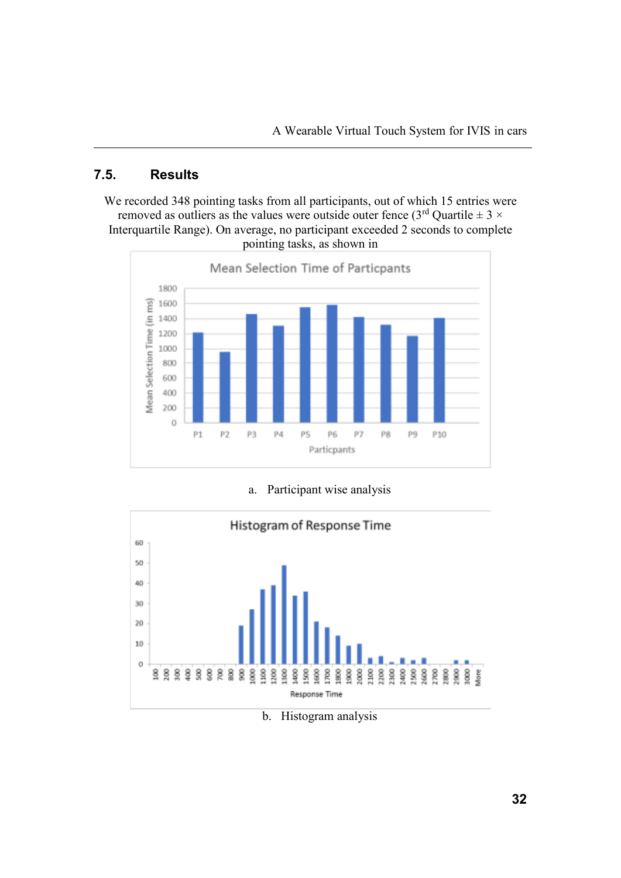# **7.5. Results**

We recorded 348 pointing tasks from all participants, out of which 15 entries were removed as outliers as the values were outside outer fence ( $3^{rd}$  Quartile  $\pm$  3  $\times$ Interquartile Range). On average, no participant exceeded 2 seconds to complete pointing tasks, as shown in



a. Participant wise analysis



b. Histogram analysis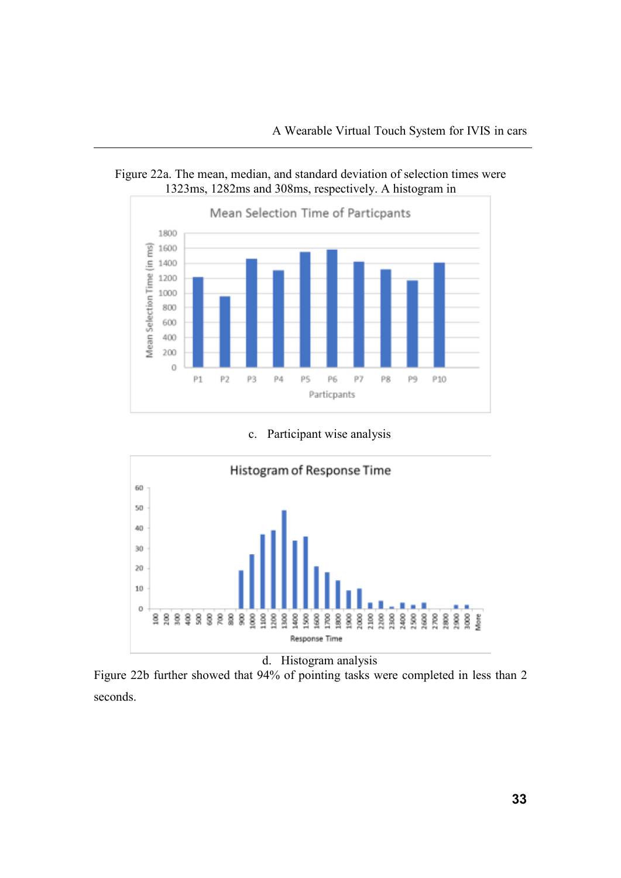



c. Participant wise analysis



d. Histogram analysis

Figure 22b further showed that 94% of pointing tasks were completed in less than 2 seconds.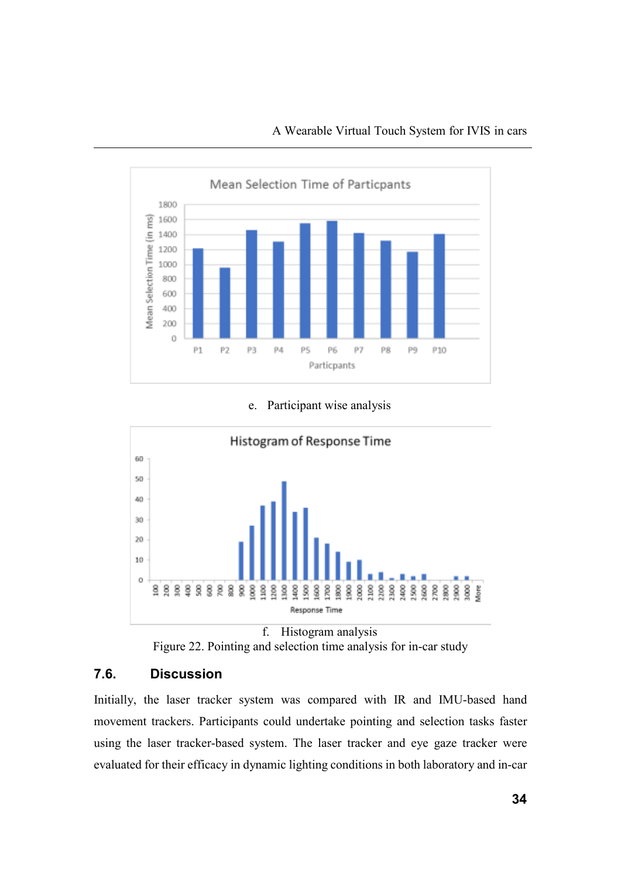

#### e. Participant wise analysis





# **7.6. Discussion**

Initially, the laser tracker system was compared with IR and IMU-based hand movement trackers. Participants could undertake pointing and selection tasks faster using the laser tracker-based system. The laser tracker and eye gaze tracker were evaluated for their efficacy in dynamic lighting conditions in both laboratory and in-car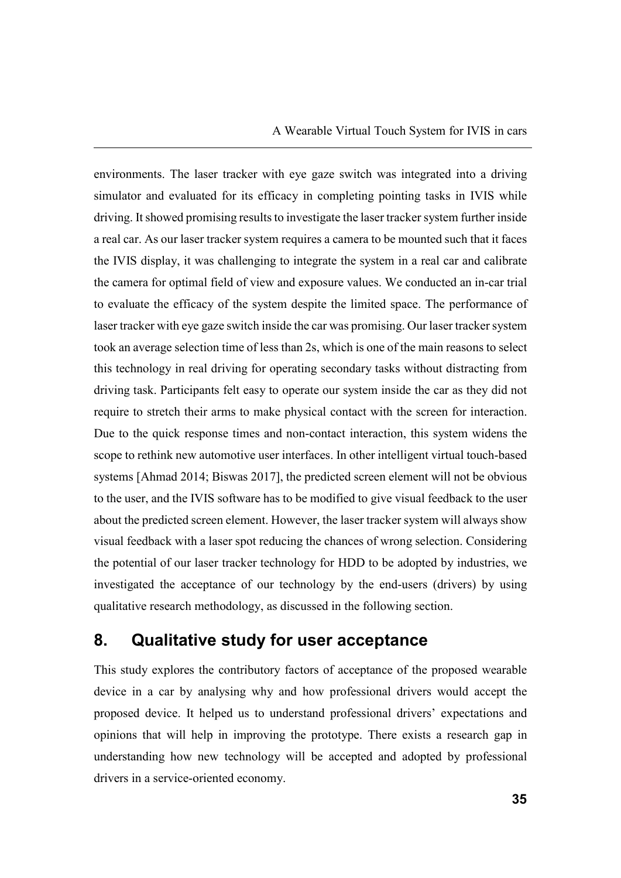environments. The laser tracker with eye gaze switch was integrated into a driving simulator and evaluated for its efficacy in completing pointing tasks in IVIS while driving. It showed promising results to investigate the laser tracker system further inside a real car. As our laser tracker system requires a camera to be mounted such that it faces the IVIS display, it was challenging to integrate the system in a real car and calibrate the camera for optimal field of view and exposure values. We conducted an in-car trial to evaluate the efficacy of the system despite the limited space. The performance of laser tracker with eye gaze switch inside the car was promising. Our laser tracker system took an average selection time of less than 2s, which is one of the main reasons to select this technology in real driving for operating secondary tasks without distracting from driving task. Participants felt easy to operate our system inside the car as they did not require to stretch their arms to make physical contact with the screen for interaction. Due to the quick response times and non-contact interaction, this system widens the scope to rethink new automotive user interfaces. In other intelligent virtual touch-based systems [Ahmad 2014; Biswas 2017], the predicted screen element will not be obvious to the user, and the IVIS software has to be modified to give visual feedback to the user about the predicted screen element. However, the laser tracker system will always show visual feedback with a laser spot reducing the chances of wrong selection. Considering the potential of our laser tracker technology for HDD to be adopted by industries, we investigated the acceptance of our technology by the end-users (drivers) by using qualitative research methodology, as discussed in the following section.

# **8. Qualitative study for user acceptance**

This study explores the contributory factors of acceptance of the proposed wearable device in a car by analysing why and how professional drivers would accept the proposed device. It helped us to understand professional drivers' expectations and opinions that will help in improving the prototype. There exists a research gap in understanding how new technology will be accepted and adopted by professional drivers in a service-oriented economy.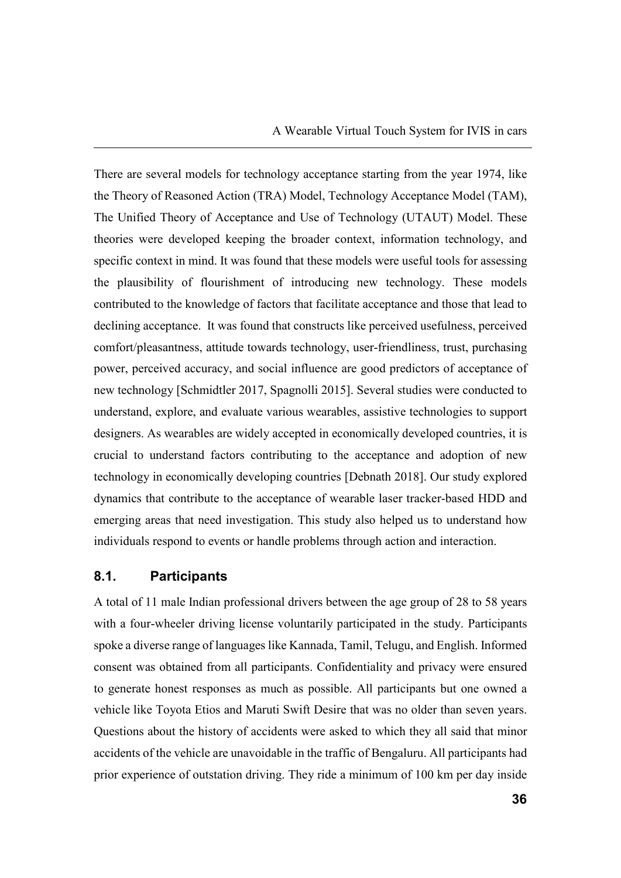There are several models for technology acceptance starting from the year 1974, like the Theory of Reasoned Action (TRA) Model, Technology Acceptance Model (TAM), The Unified Theory of Acceptance and Use of Technology (UTAUT) Model. These theories were developed keeping the broader context, information technology, and specific context in mind. It was found that these models were useful tools for assessing the plausibility of flourishment of introducing new technology. These models contributed to the knowledge of factors that facilitate acceptance and those that lead to declining acceptance. It was found that constructs like perceived usefulness, perceived comfort/pleasantness, attitude towards technology, user-friendliness, trust, purchasing power, perceived accuracy, and social influence are good predictors of acceptance of new technology [Schmidtler 2017, Spagnolli 2015]. Several studies were conducted to understand, explore, and evaluate various wearables, assistive technologies to support designers. As wearables are widely accepted in economically developed countries, it is crucial to understand factors contributing to the acceptance and adoption of new technology in economically developing countries [Debnath 2018]. Our study explored dynamics that contribute to the acceptance of wearable laser tracker-based HDD and emerging areas that need investigation. This study also helped us to understand how individuals respond to events or handle problems through action and interaction.

#### **8.1. Participants**

A total of 11 male Indian professional drivers between the age group of 28 to 58 years with a four-wheeler driving license voluntarily participated in the study. Participants spoke a diverse range of languages like Kannada, Tamil, Telugu, and English. Informed consent was obtained from all participants. Confidentiality and privacy were ensured to generate honest responses as much as possible. All participants but one owned a vehicle like Toyota Etios and Maruti Swift Desire that was no older than seven years. Questions about the history of accidents were asked to which they all said that minor accidents of the vehicle are unavoidable in the traffic of Bengaluru. All participants had prior experience of outstation driving. They ride a minimum of 100 km per day inside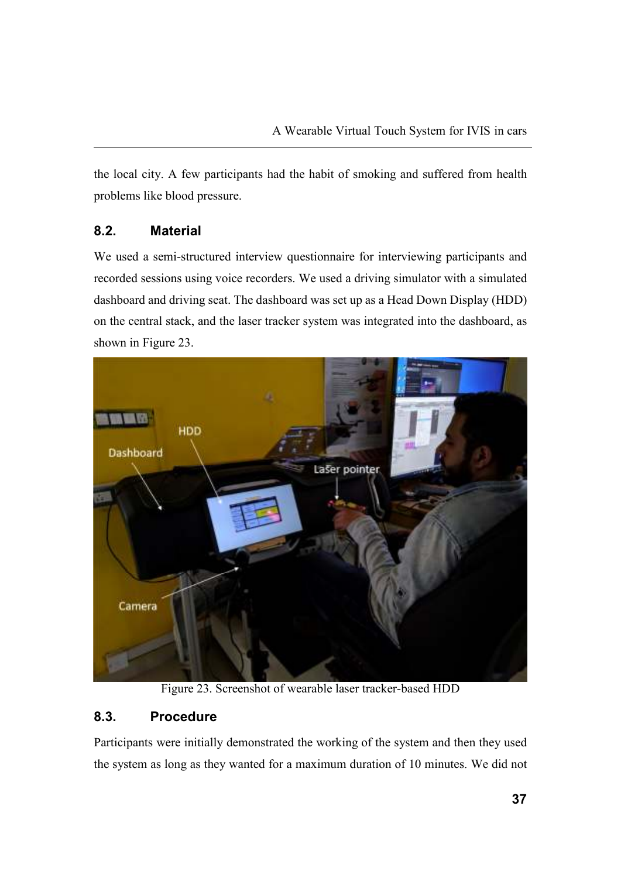the local city. A few participants had the habit of smoking and suffered from health problems like blood pressure.

## **8.2. Material**

We used a semi-structured interview questionnaire for interviewing participants and recorded sessions using voice recorders. We used a driving simulator with a simulated dashboard and driving seat. The dashboard was set up as a Head Down Display (HDD) on the central stack, and the laser tracker system was integrated into the dashboard, as shown in Figure 23.



Figure 23. Screenshot of wearable laser tracker-based HDD

# **8.3. Procedure**

Participants were initially demonstrated the working of the system and then they used the system as long as they wanted for a maximum duration of 10 minutes. We did not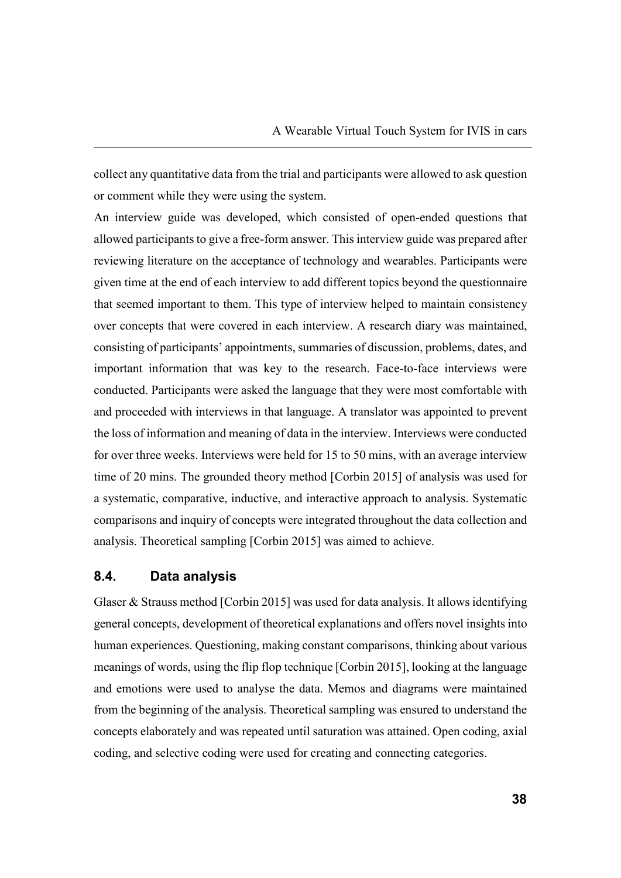collect any quantitative data from the trial and participants were allowed to ask question or comment while they were using the system.

An interview guide was developed, which consisted of open-ended questions that allowed participants to give a free-form answer. This interview guide was prepared after reviewing literature on the acceptance of technology and wearables. Participants were given time at the end of each interview to add different topics beyond the questionnaire that seemed important to them. This type of interview helped to maintain consistency over concepts that were covered in each interview. A research diary was maintained, consisting of participants' appointments, summaries of discussion, problems, dates, and important information that was key to the research. Face-to-face interviews were conducted. Participants were asked the language that they were most comfortable with and proceeded with interviews in that language. A translator was appointed to prevent the loss of information and meaning of data in the interview. Interviews were conducted for over three weeks. Interviews were held for 15 to 50 mins, with an average interview time of 20 mins. The grounded theory method [Corbin 2015] of analysis was used for a systematic, comparative, inductive, and interactive approach to analysis. Systematic comparisons and inquiry of concepts were integrated throughout the data collection and analysis. Theoretical sampling [Corbin 2015] was aimed to achieve.

#### **8.4. Data analysis**

Glaser & Strauss method [Corbin 2015] was used for data analysis. It allows identifying general concepts, development of theoretical explanations and offers novel insights into human experiences. Questioning, making constant comparisons, thinking about various meanings of words, using the flip flop technique [Corbin 2015], looking at the language and emotions were used to analyse the data. Memos and diagrams were maintained from the beginning of the analysis. Theoretical sampling was ensured to understand the concepts elaborately and was repeated until saturation was attained. Open coding, axial coding, and selective coding were used for creating and connecting categories.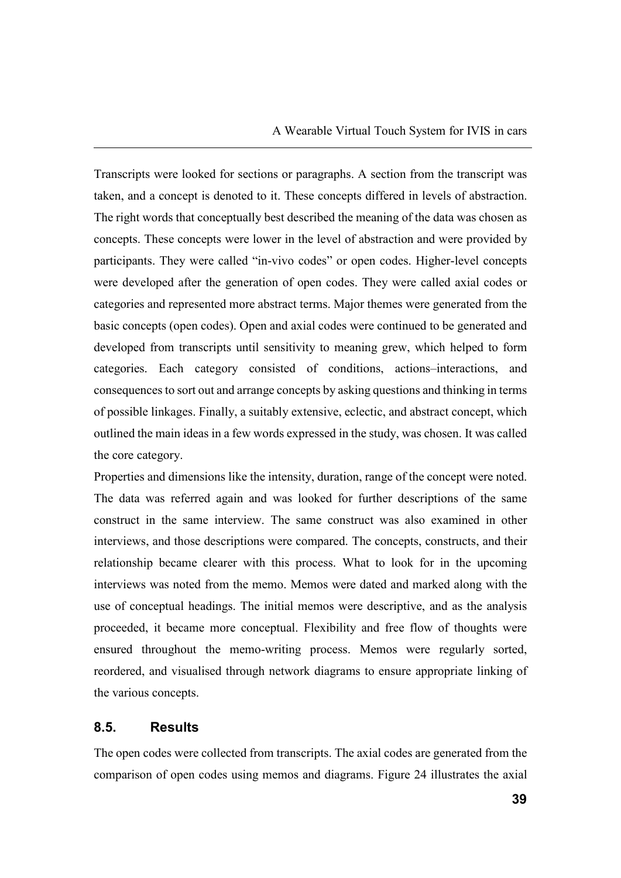Transcripts were looked for sections or paragraphs. A section from the transcript was taken, and a concept is denoted to it. These concepts differed in levels of abstraction. The right words that conceptually best described the meaning of the data was chosen as concepts. These concepts were lower in the level of abstraction and were provided by participants. They were called "in-vivo codes" or open codes. Higher-level concepts were developed after the generation of open codes. They were called axial codes or categories and represented more abstract terms. Major themes were generated from the basic concepts (open codes). Open and axial codes were continued to be generated and developed from transcripts until sensitivity to meaning grew, which helped to form categories. Each category consisted of conditions, actions–interactions, and consequences to sort out and arrange concepts by asking questions and thinking in terms of possible linkages. Finally, a suitably extensive, eclectic, and abstract concept, which outlined the main ideas in a few words expressed in the study, was chosen. It was called the core category.

Properties and dimensions like the intensity, duration, range of the concept were noted. The data was referred again and was looked for further descriptions of the same construct in the same interview. The same construct was also examined in other interviews, and those descriptions were compared. The concepts, constructs, and their relationship became clearer with this process. What to look for in the upcoming interviews was noted from the memo. Memos were dated and marked along with the use of conceptual headings. The initial memos were descriptive, and as the analysis proceeded, it became more conceptual. Flexibility and free flow of thoughts were ensured throughout the memo-writing process. Memos were regularly sorted, reordered, and visualised through network diagrams to ensure appropriate linking of the various concepts.

#### **8.5. Results**

The open codes were collected from transcripts. The axial codes are generated from the comparison of open codes using memos and diagrams. Figure 24 illustrates the axial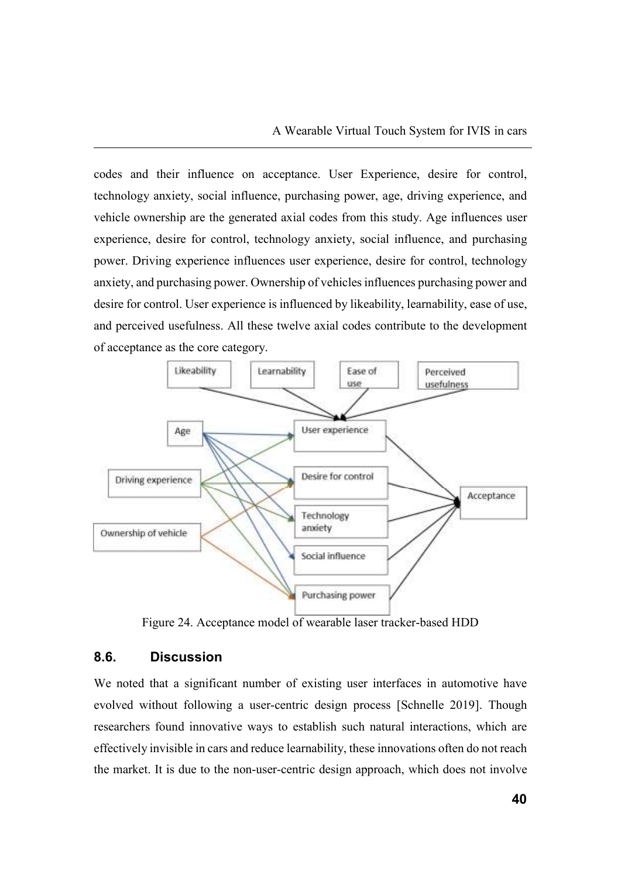codes and their influence on acceptance. User Experience, desire for control, technology anxiety, social influence, purchasing power, age, driving experience, and vehicle ownership are the generated axial codes from this study. Age influences user experience, desire for control, technology anxiety, social influence, and purchasing power. Driving experience influences user experience, desire for control, technology anxiety, and purchasing power. Ownership of vehicles influences purchasing power and desire for control. User experience is influenced by likeability, learnability, ease of use, and perceived usefulness. All these twelve axial codes contribute to the development of acceptance as the core category.



Figure 24. Acceptance model of wearable laser tracker-based HDD

# **8.6. Discussion**

We noted that a significant number of existing user interfaces in automotive have evolved without following a user-centric design process [Schnelle 2019]. Though researchers found innovative ways to establish such natural interactions, which are effectively invisible in cars and reduce learnability, these innovations often do not reach the market. It is due to the non-user-centric design approach, which does not involve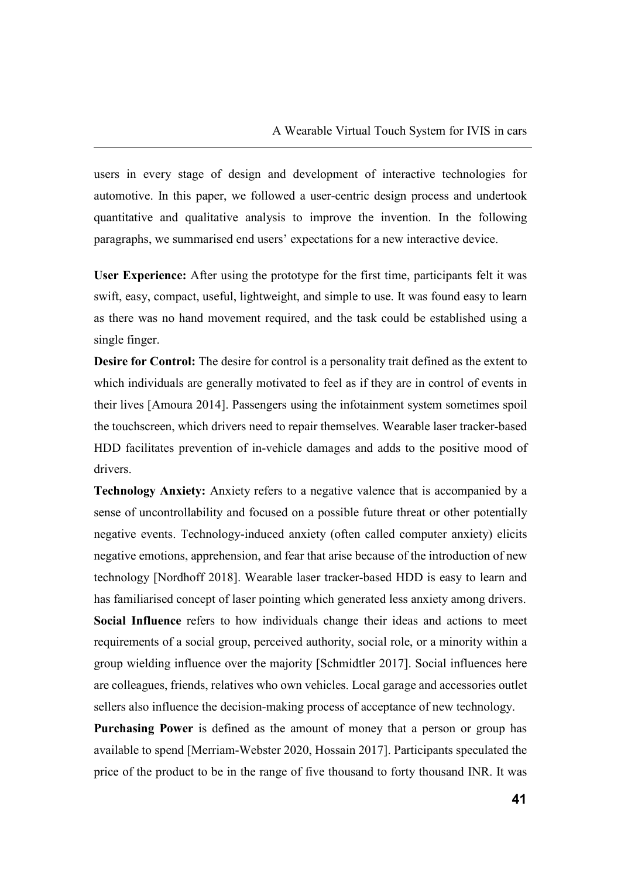users in every stage of design and development of interactive technologies for automotive. In this paper, we followed a user-centric design process and undertook quantitative and qualitative analysis to improve the invention. In the following paragraphs, we summarised end users' expectations for a new interactive device.

**User Experience:** After using the prototype for the first time, participants felt it was swift, easy, compact, useful, lightweight, and simple to use. It was found easy to learn as there was no hand movement required, and the task could be established using a single finger.

**Desire for Control:** The desire for control is a personality trait defined as the extent to which individuals are generally motivated to feel as if they are in control of events in their lives [Amoura 2014]. Passengers using the infotainment system sometimes spoil the touchscreen, which drivers need to repair themselves. Wearable laser tracker-based HDD facilitates prevention of in-vehicle damages and adds to the positive mood of drivers.

**Technology Anxiety:** Anxiety refers to a negative valence that is accompanied by a sense of uncontrollability and focused on a possible future threat or other potentially negative events. Technology-induced anxiety (often called computer anxiety) elicits negative emotions, apprehension, and fear that arise because of the introduction of new technology [Nordhoff 2018]. Wearable laser tracker-based HDD is easy to learn and has familiarised concept of laser pointing which generated less anxiety among drivers. **Social Influence** refers to how individuals change their ideas and actions to meet requirements of a social group, perceived authority, social role, or a minority within a group wielding influence over the majority [Schmidtler 2017]. Social influences here are colleagues, friends, relatives who own vehicles. Local garage and accessories outlet sellers also influence the decision-making process of acceptance of new technology.

**Purchasing Power** is defined as the amount of money that a person or group has available to spend [Merriam-Webster 2020, Hossain 2017]. Participants speculated the price of the product to be in the range of five thousand to forty thousand INR. It was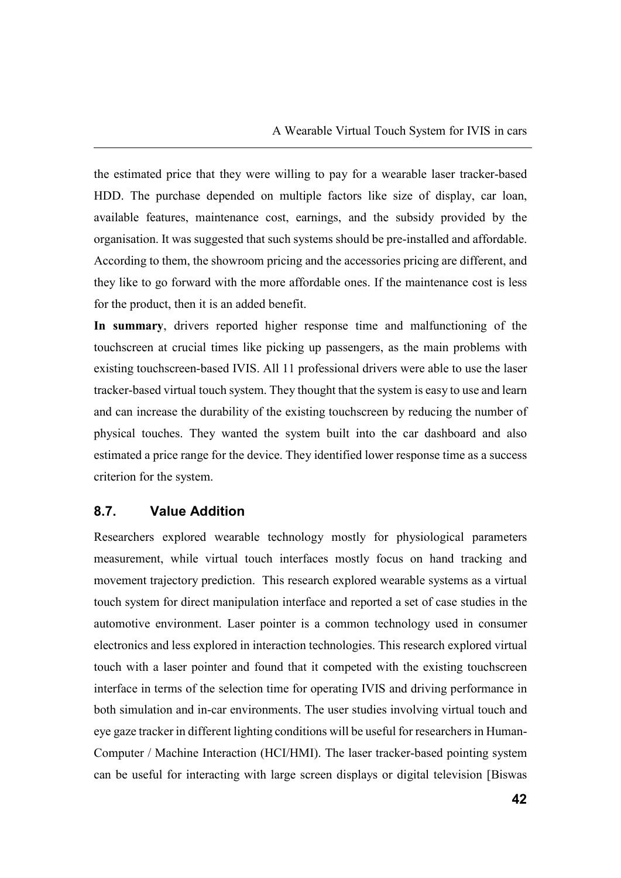the estimated price that they were willing to pay for a wearable laser tracker-based HDD. The purchase depended on multiple factors like size of display, car loan, available features, maintenance cost, earnings, and the subsidy provided by the organisation. It was suggested that such systems should be pre-installed and affordable. According to them, the showroom pricing and the accessories pricing are different, and they like to go forward with the more affordable ones. If the maintenance cost is less for the product, then it is an added benefit.

**In summary**, drivers reported higher response time and malfunctioning of the touchscreen at crucial times like picking up passengers, as the main problems with existing touchscreen-based IVIS. All 11 professional drivers were able to use the laser tracker-based virtual touch system. They thought that the system is easy to use and learn and can increase the durability of the existing touchscreen by reducing the number of physical touches. They wanted the system built into the car dashboard and also estimated a price range for the device. They identified lower response time as a success criterion for the system.

#### **8.7. Value Addition**

Researchers explored wearable technology mostly for physiological parameters measurement, while virtual touch interfaces mostly focus on hand tracking and movement trajectory prediction. This research explored wearable systems as a virtual touch system for direct manipulation interface and reported a set of case studies in the automotive environment. Laser pointer is a common technology used in consumer electronics and less explored in interaction technologies. This research explored virtual touch with a laser pointer and found that it competed with the existing touchscreen interface in terms of the selection time for operating IVIS and driving performance in both simulation and in-car environments. The user studies involving virtual touch and eye gaze tracker in different lighting conditions will be useful for researchers in Human-Computer / Machine Interaction (HCI/HMI). The laser tracker-based pointing system can be useful for interacting with large screen displays or digital television [Biswas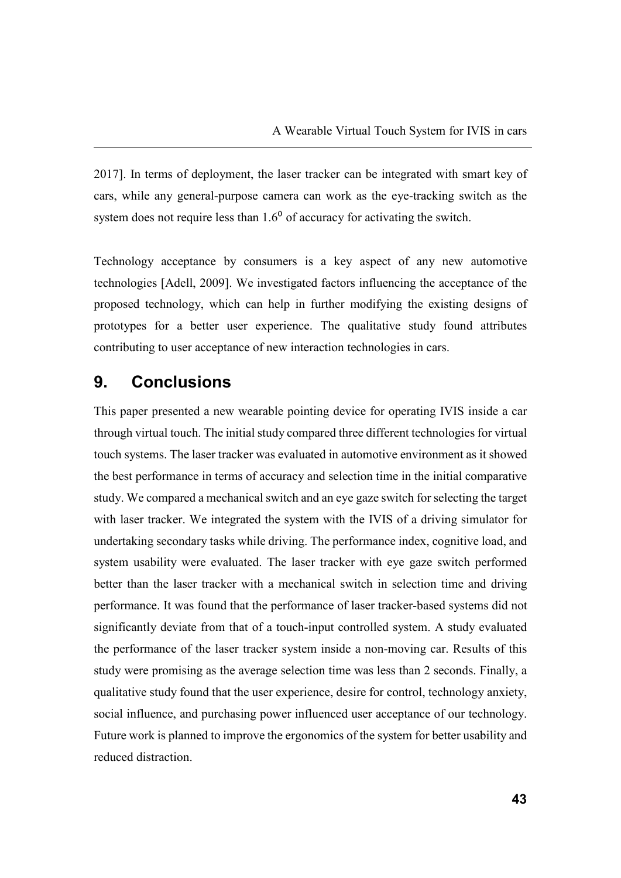2017]. In terms of deployment, the laser tracker can be integrated with smart key of cars, while any general-purpose camera can work as the eye-tracking switch as the system does not require less than  $1.6<sup>0</sup>$  of accuracy for activating the switch.

Technology acceptance by consumers is a key aspect of any new automotive technologies [Adell, 2009]. We investigated factors influencing the acceptance of the proposed technology, which can help in further modifying the existing designs of prototypes for a better user experience. The qualitative study found attributes contributing to user acceptance of new interaction technologies in cars.

# **9. Conclusions**

This paper presented a new wearable pointing device for operating IVIS inside a car through virtual touch. The initial study compared three different technologies for virtual touch systems. The laser tracker was evaluated in automotive environment as it showed the best performance in terms of accuracy and selection time in the initial comparative study. We compared a mechanical switch and an eye gaze switch for selecting the target with laser tracker. We integrated the system with the IVIS of a driving simulator for undertaking secondary tasks while driving. The performance index, cognitive load, and system usability were evaluated. The laser tracker with eye gaze switch performed better than the laser tracker with a mechanical switch in selection time and driving performance. It was found that the performance of laser tracker-based systems did not significantly deviate from that of a touch-input controlled system. A study evaluated the performance of the laser tracker system inside a non-moving car. Results of this study were promising as the average selection time was less than 2 seconds. Finally, a qualitative study found that the user experience, desire for control, technology anxiety, social influence, and purchasing power influenced user acceptance of our technology. Future work is planned to improve the ergonomics of the system for better usability and reduced distraction.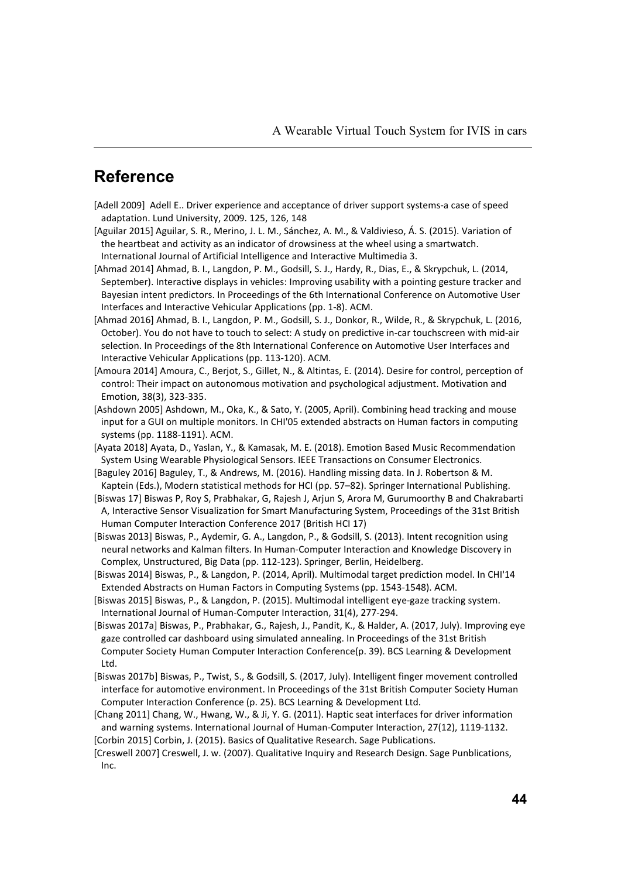# **Reference**

- [Adell 2009] Adell E.. Driver experience and acceptance of driver support systems-a case of speed adaptation. Lund University, 2009. 125, 126, 148
- [Aguilar 2015] Aguilar, S. R., Merino, J. L. M., Sánchez, A. M., & Valdivieso, Á. S. (2015). Variation of the heartbeat and activity as an indicator of drowsiness at the wheel using a smartwatch. International Journal of Artificial Intelligence and Interactive Multimedia 3.
- [Ahmad 2014] Ahmad, B. I., Langdon, P. M., Godsill, S. J., Hardy, R., Dias, E., & Skrypchuk, L. (2014, September). Interactive displays in vehicles: Improving usability with a pointing gesture tracker and Bayesian intent predictors. In Proceedings of the 6th International Conference on Automotive User Interfaces and Interactive Vehicular Applications (pp. 1-8). ACM.
- [Ahmad 2016] Ahmad, B. I., Langdon, P. M., Godsill, S. J., Donkor, R., Wilde, R., & Skrypchuk, L. (2016, October). You do not have to touch to select: A study on predictive in-car touchscreen with mid-air selection. In Proceedings of the 8th International Conference on Automotive User Interfaces and Interactive Vehicular Applications (pp. 113-120). ACM.
- [Amoura 2014] Amoura, C., Berjot, S., Gillet, N., & Altintas, E. (2014). Desire for control, perception of control: Their impact on autonomous motivation and psychological adjustment. Motivation and Emotion, 38(3), 323-335.
- [Ashdown 2005] Ashdown, M., Oka, K., & Sato, Y. (2005, April). Combining head tracking and mouse input for a GUI on multiple monitors. In CHI'05 extended abstracts on Human factors in computing systems (pp. 1188-1191). ACM.
- [Ayata 2018] Ayata, D., Yaslan, Y., & Kamasak, M. E. (2018). Emotion Based Music Recommendation System Using Wearable Physiological Sensors. IEEE Transactions on Consumer Electronics.
- [Baguley 2016] Baguley, T., & Andrews, M. (2016). Handling missing data. In J. Robertson & M. Kaptein (Eds.), Modern statistical methods for HCI (pp. 57–82). Springer International Publishing.
- [Biswas 17] Biswas P, Roy S, Prabhakar, G, Rajesh J, Arjun S, Arora M, Gurumoorthy B and Chakrabarti A, Interactive Sensor Visualization for Smart Manufacturing System, Proceedings of the 31st British Human Computer Interaction Conference 2017 (British HCI 17)
- [Biswas 2013] Biswas, P., Aydemir, G. A., Langdon, P., & Godsill, S. (2013). Intent recognition using neural networks and Kalman filters. In Human-Computer Interaction and Knowledge Discovery in Complex, Unstructured, Big Data (pp. 112-123). Springer, Berlin, Heidelberg.
- [Biswas 2014] Biswas, P., & Langdon, P. (2014, April). Multimodal target prediction model. In CHI'14 Extended Abstracts on Human Factors in Computing Systems (pp. 1543-1548). ACM.
- [Biswas 2015] Biswas, P., & Langdon, P. (2015). Multimodal intelligent eye-gaze tracking system. International Journal of Human-Computer Interaction, 31(4), 277-294.
- [Biswas 2017a] Biswas, P., Prabhakar, G., Rajesh, J., Pandit, K., & Halder, A. (2017, July). Improving eye gaze controlled car dashboard using simulated annealing. In Proceedings of the 31st British Computer Society Human Computer Interaction Conference(p. 39). BCS Learning & Development Ltd.
- [Biswas 2017b] Biswas, P., Twist, S., & Godsill, S. (2017, July). Intelligent finger movement controlled interface for automotive environment. In Proceedings of the 31st British Computer Society Human Computer Interaction Conference (p. 25). BCS Learning & Development Ltd.
- [Chang 2011] Chang, W., Hwang, W., & Ji, Y. G. (2011). Haptic seat interfaces for driver information and warning systems. International Journal of Human-Computer Interaction, 27(12), 1119-1132. [Corbin 2015] Corbin, J. (2015). Basics of Qualitative Research. Sage Publications.
- [Creswell 2007] Creswell, J. w. (2007). Qualitative Inquiry and Research Design. Sage Punblications, Inc.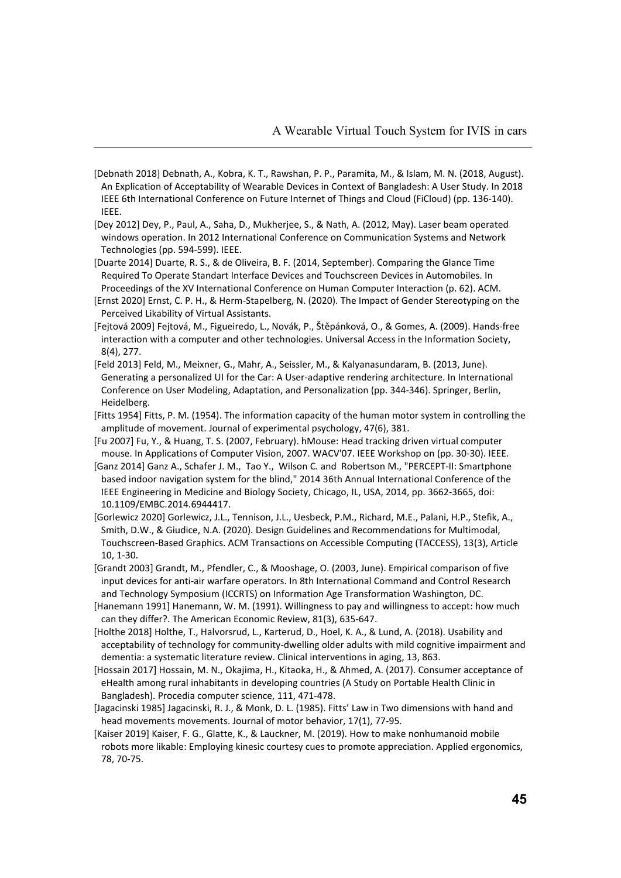- [Debnath 2018] Debnath, A., Kobra, K. T., Rawshan, P. P., Paramita, M., & Islam, M. N. (2018, August). An Explication of Acceptability of Wearable Devices in Context of Bangladesh: A User Study. In 2018 IEEE 6th International Conference on Future Internet of Things and Cloud (FiCloud) (pp. 136-140). IEEE.
- [Dey 2012] Dey, P., Paul, A., Saha, D., Mukherjee, S., & Nath, A. (2012, May). Laser beam operated windows operation. In 2012 International Conference on Communication Systems and Network Technologies (pp. 594-599). IEEE.
- [Duarte 2014] Duarte, R. S., & de Oliveira, B. F. (2014, September). Comparing the Glance Time Required To Operate Standart Interface Devices and Touchscreen Devices in Automobiles. In Proceedings of the XV International Conference on Human Computer Interaction (p. 62). ACM.
- [Ernst 2020] Ernst, C. P. H., & Herm-Stapelberg, N. (2020). The Impact of Gender Stereotyping on the Perceived Likability of Virtual Assistants.
- [Fejtová 2009] Fejtová, M., Figueiredo, L., Novák, P., Štěpánková, O., & Gomes, A. (2009). Hands-free interaction with a computer and other technologies. Universal Access in the Information Society, 8(4), 277.
- [Feld 2013] Feld, M., Meixner, G., Mahr, A., Seissler, M., & Kalyanasundaram, B. (2013, June). Generating a personalized UI for the Car: A User-adaptive rendering architecture. In International Conference on User Modeling, Adaptation, and Personalization (pp. 344-346). Springer, Berlin, Heidelberg.
- [Fitts 1954] Fitts, P. M. (1954). The information capacity of the human motor system in controlling the amplitude of movement. Journal of experimental psychology, 47(6), 381.
- [Fu 2007] Fu, Y., & Huang, T. S. (2007, February). hMouse: Head tracking driven virtual computer mouse. In Applications of Computer Vision, 2007. WACV'07. IEEE Workshop on (pp. 30-30). IEEE.
- [Ganz 2014] Ganz A., Schafer J. M., Tao Y., Wilson C. and Robertson M., "PERCEPT-II: Smartphone based indoor navigation system for the blind," 2014 36th Annual International Conference of the IEEE Engineering in Medicine and Biology Society, Chicago, IL, USA, 2014, pp. 3662-3665, doi: 10.1109/EMBC.2014.6944417.
- [Gorlewicz 2020] Gorlewicz, J.L., Tennison, J.L., Uesbeck, P.M., Richard, M.E., Palani, H.P., Stefik, A., Smith, D.W., & Giudice, N.A. (2020). Design Guidelines and Recommendations for Multimodal, Touchscreen-Based Graphics. ACM Transactions on Accessible Computing (TACCESS), 13(3), Article  $10, 1 - 30$
- [Grandt 2003] Grandt, M., Pfendler, C., & Mooshage, O. (2003, June). Empirical comparison of five input devices for anti-air warfare operators. In 8th International Command and Control Research and Technology Symposium (ICCRTS) on Information Age Transformation Washington, DC.
- [Hanemann 1991] Hanemann, W. M. (1991). Willingness to pay and willingness to accept: how much can they differ?. The American Economic Review, 81(3), 635-647.
- [Holthe 2018] Holthe, T., Halvorsrud, L., Karterud, D., Hoel, K. A., & Lund, A. (2018). Usability and acceptability of technology for community-dwelling older adults with mild cognitive impairment and dementia: a systematic literature review. Clinical interventions in aging, 13, 863.
- [Hossain 2017] Hossain, M. N., Okajima, H., Kitaoka, H., & Ahmed, A. (2017). Consumer acceptance of eHealth among rural inhabitants in developing countries (A Study on Portable Health Clinic in Bangladesh). Procedia computer science, 111, 471-478.
- [Jagacinski 1985] Jagacinski, R. J., & Monk, D. L. (1985). Fitts' Law in Two dimensions with hand and head movements movements. Journal of motor behavior, 17(1), 77-95.
- [Kaiser 2019] Kaiser, F. G., Glatte, K., & Lauckner, M. (2019). How to make nonhumanoid mobile robots more likable: Employing kinesic courtesy cues to promote appreciation. Applied ergonomics, 78, 70-75.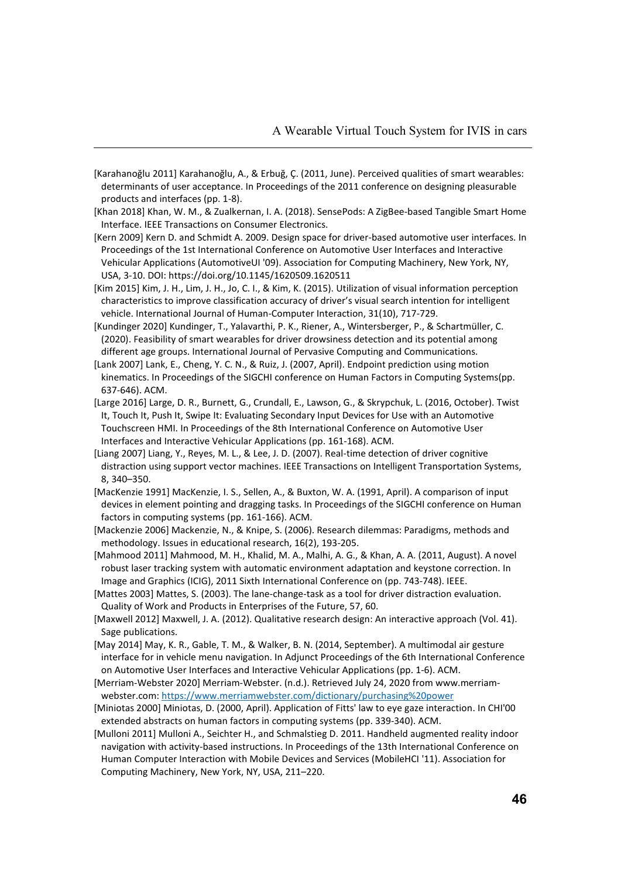- [Karahanoğlu 2011] Karahanoğlu, A., & Erbuğ, Ç. (2011, June). Perceived qualities of smart wearables: determinants of user acceptance. In Proceedings of the 2011 conference on designing pleasurable products and interfaces (pp. 1-8).
- [Khan 2018] Khan, W. M., & Zualkernan, I. A. (2018). SensePods: A ZigBee-based Tangible Smart Home Interface. IEEE Transactions on Consumer Electronics.
- [Kern 2009] Kern D. and Schmidt A. 2009. Design space for driver-based automotive user interfaces. In Proceedings of the 1st International Conference on Automotive User Interfaces and Interactive Vehicular Applications (AutomotiveUI '09). Association for Computing Machinery, New York, NY, USA, 3-10. DOI: https://doi.org/10.1145/1620509.1620511
- [Kim 2015] Kim, J. H., Lim, J. H., Jo, C. I., & Kim, K. (2015). Utilization of visual information perception characteristics to improve classification accuracy of driver's visual search intention for intelligent vehicle. International Journal of Human-Computer Interaction, 31(10), 717-729.
- [Kundinger 2020] Kundinger, T., Yalavarthi, P. K., Riener, A., Wintersberger, P., & Schartmüller, C. (2020). Feasibility of smart wearables for driver drowsiness detection and its potential among different age groups. International Journal of Pervasive Computing and Communications.
- [Lank 2007] Lank, E., Cheng, Y. C. N., & Ruiz, J. (2007, April). Endpoint prediction using motion kinematics. In Proceedings of the SIGCHI conference on Human Factors in Computing Systems(pp. 637-646). ACM.
- [Large 2016] Large, D. R., Burnett, G., Crundall, E., Lawson, G., & Skrypchuk, L. (2016, October). Twist It, Touch It, Push It, Swipe It: Evaluating Secondary Input Devices for Use with an Automotive Touchscreen HMI. In Proceedings of the 8th International Conference on Automotive User Interfaces and Interactive Vehicular Applications (pp. 161-168). ACM.
- [Liang 2007] Liang, Y., Reyes, M. L., & Lee, J. D. (2007). Real-time detection of driver cognitive distraction using support vector machines. IEEE Transactions on Intelligent Transportation Systems, 8, 340–350.
- [MacKenzie 1991] MacKenzie, I. S., Sellen, A., & Buxton, W. A. (1991, April). A comparison of input devices in element pointing and dragging tasks. In Proceedings of the SIGCHI conference on Human factors in computing systems (pp. 161-166). ACM.
- [Mackenzie 2006] Mackenzie, N., & Knipe, S. (2006). Research dilemmas: Paradigms, methods and methodology. Issues in educational research, 16(2), 193-205.
- [Mahmood 2011] Mahmood, M. H., Khalid, M. A., Malhi, A. G., & Khan, A. A. (2011, August). A novel robust laser tracking system with automatic environment adaptation and keystone correction. In Image and Graphics (ICIG), 2011 Sixth International Conference on (pp. 743-748). IEEE.
- [Mattes 2003] Mattes, S. (2003). The lane-change-task as a tool for driver distraction evaluation. Quality of Work and Products in Enterprises of the Future, 57, 60.
- [Maxwell 2012] Maxwell, J. A. (2012). Qualitative research design: An interactive approach (Vol. 41). Sage publications.
- [May 2014] May, K. R., Gable, T. M., & Walker, B. N. (2014, September). A multimodal air gesture interface for in vehicle menu navigation. In Adjunct Proceedings of the 6th International Conference on Automotive User Interfaces and Interactive Vehicular Applications (pp. 1-6). ACM.
- [Merriam-Webster 2020] Merriam-Webster. (n.d.). Retrieved July 24, 2020 from www.merriamwebster.com: https://www.merriamwebster.com/dictionary/purchasing%20power
- [Miniotas 2000] Miniotas, D. (2000, April). Application of Fitts' law to eye gaze interaction. In CHI'00 extended abstracts on human factors in computing systems (pp. 339-340). ACM.
- [Mulloni 2011] Mulloni A., Seichter H., and Schmalstieg D. 2011. Handheld augmented reality indoor navigation with activity-based instructions. In Proceedings of the 13th International Conference on Human Computer Interaction with Mobile Devices and Services (MobileHCI '11). Association for Computing Machinery, New York, NY, USA, 211–220.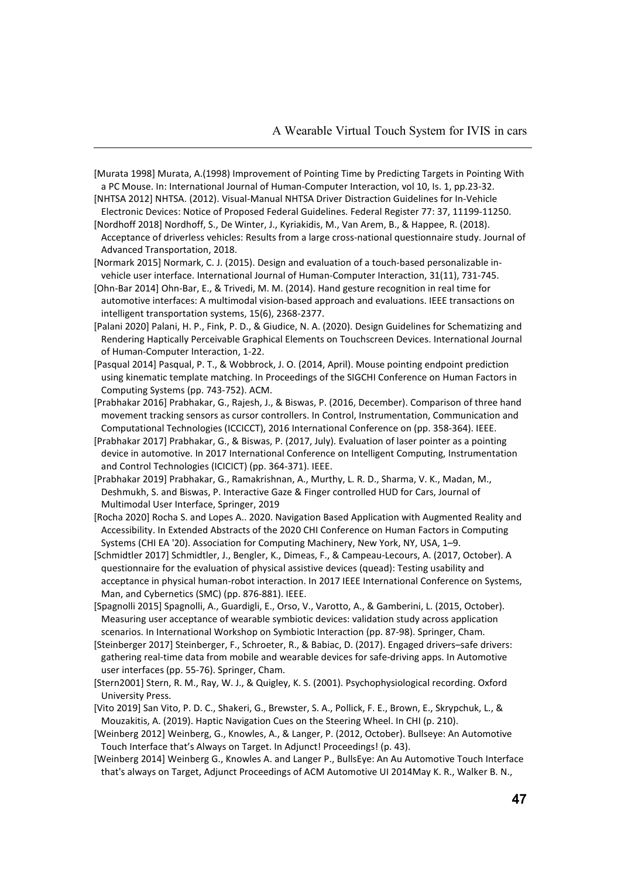- [Murata 1998] Murata, A.(1998) Improvement of Pointing Time by Predicting Targets in Pointing With a PC Mouse. In: International Journal of Human-Computer Interaction, vol 10, Is. 1, pp.23-32.
- [NHTSA 2012] NHTSA. (2012). Visual-Manual NHTSA Driver Distraction Guidelines for In-Vehicle Electronic Devices: Notice of Proposed Federal Guidelines. Federal Register 77: 37, 11199-11250.
- [Nordhoff 2018] Nordhoff, S., De Winter, J., Kyriakidis, M., Van Arem, B., & Happee, R. (2018). Acceptance of driverless vehicles: Results from a large cross-national questionnaire study. Journal of Advanced Transportation, 2018.
- [Normark 2015] Normark, C. J. (2015). Design and evaluation of a touch-based personalizable invehicle user interface. International Journal of Human-Computer Interaction, 31(11), 731-745.
- [Ohn-Bar 2014] Ohn-Bar, E., & Trivedi, M. M. (2014). Hand gesture recognition in real time for automotive interfaces: A multimodal vision-based approach and evaluations. IEEE transactions on intelligent transportation systems, 15(6), 2368-2377.
- [Palani 2020] Palani, H. P., Fink, P. D., & Giudice, N. A. (2020). Design Guidelines for Schematizing and Rendering Haptically Perceivable Graphical Elements on Touchscreen Devices. International Journal of Human-Computer Interaction, 1-22.
- [Pasqual 2014] Pasqual, P. T., & Wobbrock, J. O. (2014, April). Mouse pointing endpoint prediction using kinematic template matching. In Proceedings of the SIGCHI Conference on Human Factors in Computing Systems (pp. 743-752). ACM.
- [Prabhakar 2016] Prabhakar, G., Rajesh, J., & Biswas, P. (2016, December). Comparison of three hand movement tracking sensors as cursor controllers. In Control, Instrumentation, Communication and Computational Technologies (ICCICCT), 2016 International Conference on (pp. 358-364). IEEE.
- [Prabhakar 2017] Prabhakar, G., & Biswas, P. (2017, July). Evaluation of laser pointer as a pointing device in automotive. In 2017 International Conference on Intelligent Computing, Instrumentation and Control Technologies (ICICICT) (pp. 364-371). IEEE.
- [Prabhakar 2019] Prabhakar, G., Ramakrishnan, A., Murthy, L. R. D., Sharma, V. K., Madan, M., Deshmukh, S. and Biswas, P. Interactive Gaze & Finger controlled HUD for Cars, Journal of Multimodal User Interface, Springer, 2019
- [Rocha 2020] Rocha S. and Lopes A.. 2020. Navigation Based Application with Augmented Reality and Accessibility. In Extended Abstracts of the 2020 CHI Conference on Human Factors in Computing Systems (CHI EA '20). Association for Computing Machinery, New York, NY, USA, 1–9.
- [Schmidtler 2017] Schmidtler, J., Bengler, K., Dimeas, F., & Campeau-Lecours, A. (2017, October). A questionnaire for the evaluation of physical assistive devices (quead): Testing usability and acceptance in physical human-robot interaction. In 2017 IEEE International Conference on Systems, Man, and Cybernetics (SMC) (pp. 876-881). IEEE.
- [Spagnolli 2015] Spagnolli, A., Guardigli, E., Orso, V., Varotto, A., & Gamberini, L. (2015, October). Measuring user acceptance of wearable symbiotic devices: validation study across application scenarios. In International Workshop on Symbiotic Interaction (pp. 87-98). Springer, Cham.
- [Steinberger 2017] Steinberger, F., Schroeter, R., & Babiac, D. (2017). Engaged drivers–safe drivers: gathering real-time data from mobile and wearable devices for safe-driving apps. In Automotive user interfaces (pp. 55-76). Springer, Cham.
- [Stern2001] Stern, R. M., Ray, W. J., & Quigley, K. S. (2001). Psychophysiological recording. Oxford University Press.
- [Vito 2019] San Vito, P. D. C., Shakeri, G., Brewster, S. A., Pollick, F. E., Brown, E., Skrypchuk, L., & Mouzakitis, A. (2019). Haptic Navigation Cues on the Steering Wheel. In CHI (p. 210).
- [Weinberg 2012] Weinberg, G., Knowles, A., & Langer, P. (2012, October). Bullseye: An Automotive Touch Interface that's Always on Target. In Adjunct! Proceedings! (p. 43).
- [Weinberg 2014] Weinberg G., Knowles A. and Langer P., BullsEye: An Au Automotive Touch Interface that's always on Target, Adjunct Proceedings of ACM Automotive UI 2014May K. R., Walker B. N.,